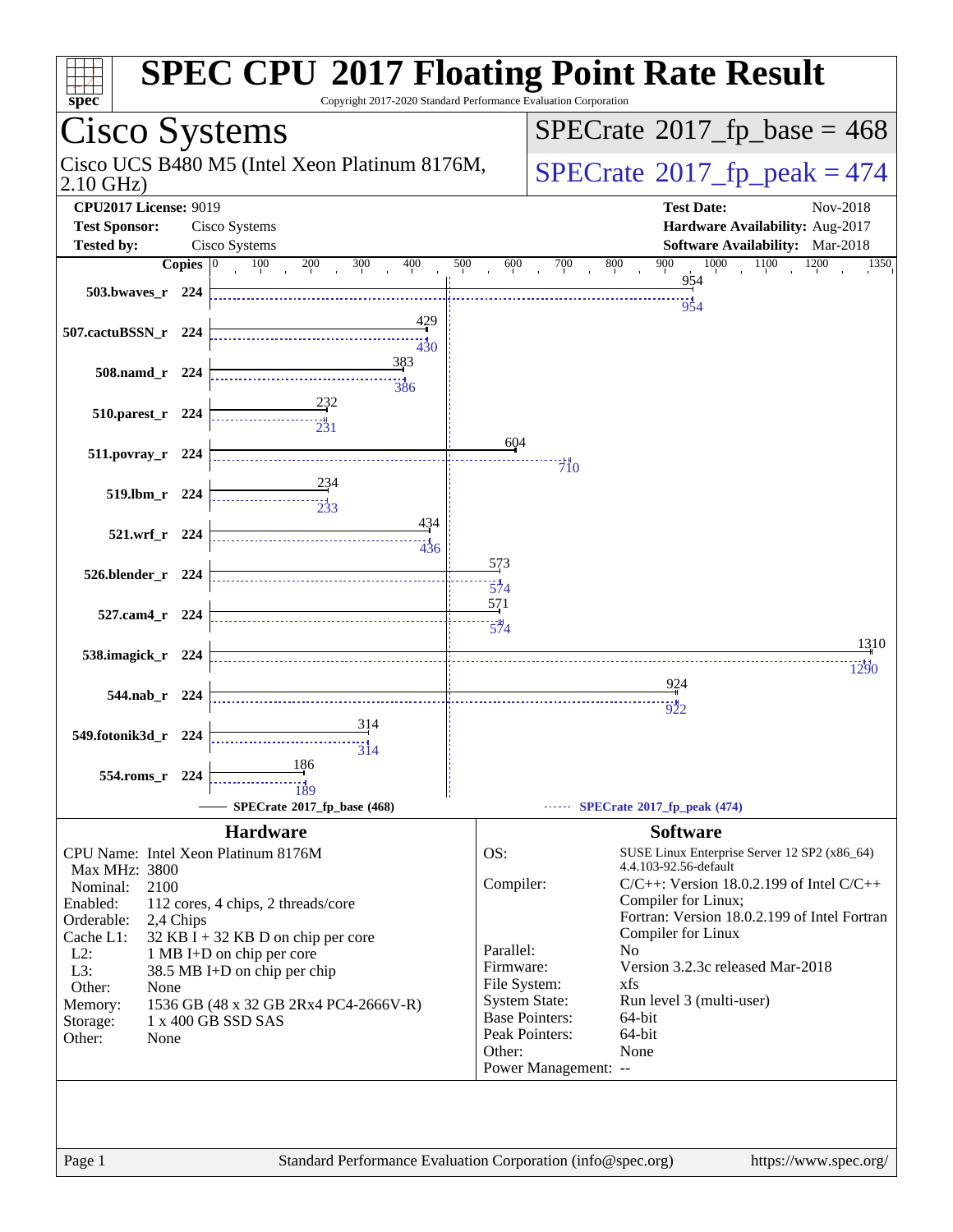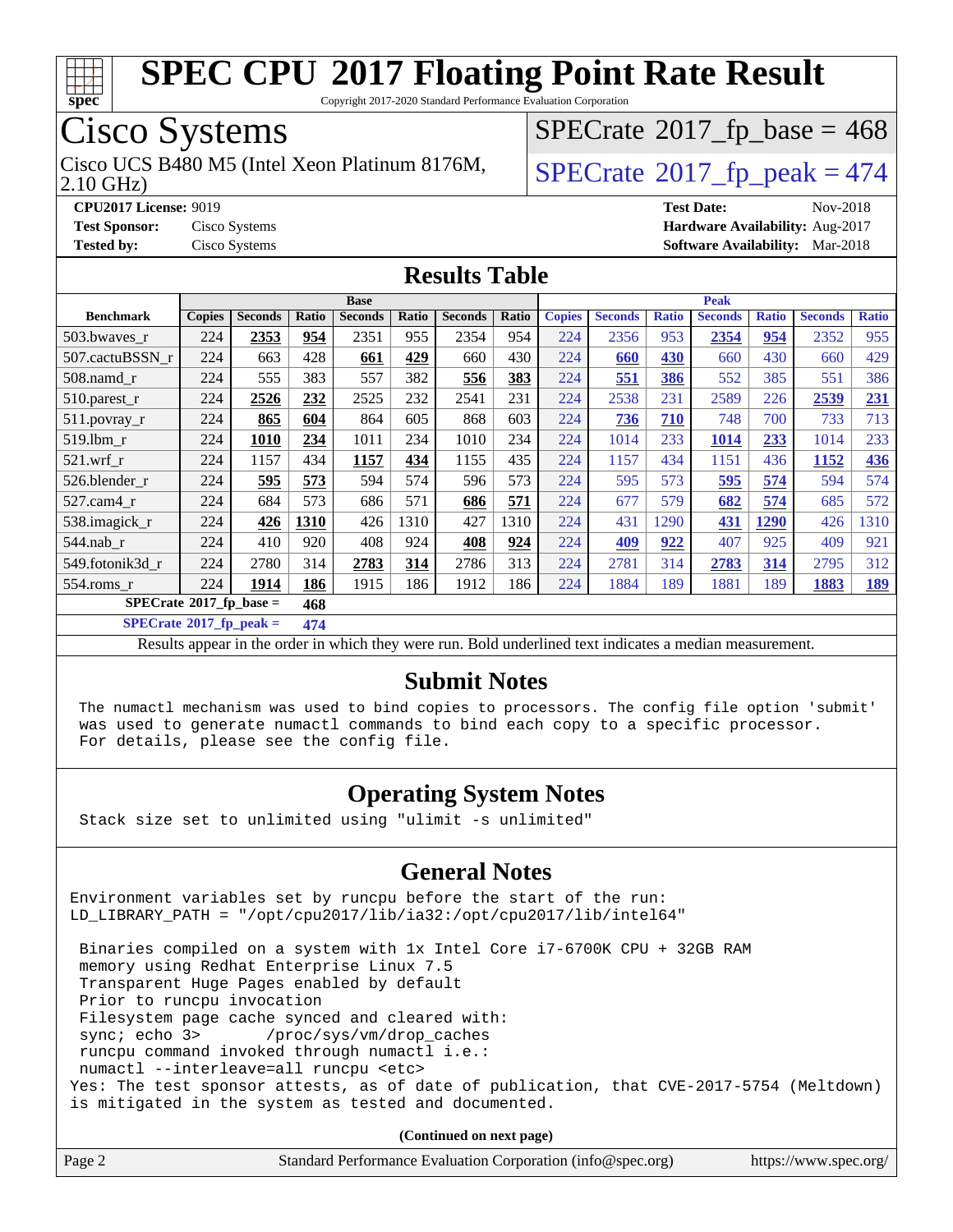

Copyright 2017-2020 Standard Performance Evaluation Corporation

## Cisco Systems

Cisco UCS B480 M5 (Intel Xeon Platinum 8176M,  $\big|$  [SPECrate](http://www.spec.org/auto/cpu2017/Docs/result-fields.html#SPECrate2017fppeak)®[2017\\_fp\\_peak = 4](http://www.spec.org/auto/cpu2017/Docs/result-fields.html#SPECrate2017fppeak)74

 $SPECTate$ <sup>®</sup>[2017\\_fp\\_base =](http://www.spec.org/auto/cpu2017/Docs/result-fields.html#SPECrate2017fpbase) 468

2.10 GHz)

**[CPU2017 License:](http://www.spec.org/auto/cpu2017/Docs/result-fields.html#CPU2017License)** 9019 **[Test Date:](http://www.spec.org/auto/cpu2017/Docs/result-fields.html#TestDate)** Nov-2018 **[Test Sponsor:](http://www.spec.org/auto/cpu2017/Docs/result-fields.html#TestSponsor)** Cisco Systems **[Hardware Availability:](http://www.spec.org/auto/cpu2017/Docs/result-fields.html#HardwareAvailability)** Aug-2017 **[Tested by:](http://www.spec.org/auto/cpu2017/Docs/result-fields.html#Testedby)** Cisco Systems **[Software Availability:](http://www.spec.org/auto/cpu2017/Docs/result-fields.html#SoftwareAvailability)** Mar-2018

#### **[Results Table](http://www.spec.org/auto/cpu2017/Docs/result-fields.html#ResultsTable)**

|                                          | <b>Base</b>   |                |       |                |       | <b>Peak</b>    |       |               |                |              |                |              |                |              |
|------------------------------------------|---------------|----------------|-------|----------------|-------|----------------|-------|---------------|----------------|--------------|----------------|--------------|----------------|--------------|
| <b>Benchmark</b>                         | <b>Copies</b> | <b>Seconds</b> | Ratio | <b>Seconds</b> | Ratio | <b>Seconds</b> | Ratio | <b>Copies</b> | <b>Seconds</b> | <b>Ratio</b> | <b>Seconds</b> | <b>Ratio</b> | <b>Seconds</b> | <b>Ratio</b> |
| 503.bwaves_r                             | 224           | 2353           | 954   | 2351           | 955   | 2354           | 954   | 224           | 2356           | 953          | 2354           | 954          | 2352           | 955          |
| 507.cactuBSSN r                          | 224           | 663            | 428   | 661            | 429   | 660            | 430   | 224           | 660            | 430          | 660            | 430          | 660            | 429          |
| $508$ .namd $r$                          | 224           | 555            | 383   | 557            | 382   | 556            | 383   | 224           | 551            | 386          | 552            | 385          | 551            | 386          |
| 510.parest_r                             | 224           | 2526           | 232   | 2525           | 232   | 2541           | 231   | 224           | 2538           | 231          | 2589           | 226          | 2539           | 231          |
| 511.povray_r                             | 224           | 865            | 604   | 864            | 605   | 868            | 603   | 224           | 736            | 710          | 748            | 700          | 733            | 713          |
| $519$ .lbm $r$                           | 224           | 1010           | 234   | 1011           | 234   | 1010           | 234   | 224           | 1014           | 233          | 1014           | 233          | 1014           | 233          |
| $521$ .wrf r                             | 224           | 1157           | 434   | 1157           | 434   | 1155           | 435   | 224           | 1157           | 434          | 1151           | 436          | 1152           | 436          |
| 526.blender r                            | 224           | 595            | 573   | 594            | 574   | 596            | 573   | 224           | 595            | 573          | 595            | 574          | 594            | 574          |
| $527.cam4_r$                             | 224           | 684            | 573   | 686            | 571   | 686            | 571   | 224           | 677            | 579          | 682            | 574          | 685            | 572          |
| 538.imagick_r                            | 224           | 426            | 1310  | 426            | 1310  | 427            | 1310  | 224           | 431            | 1290         | 431            | 1290         | 426            | 1310         |
| 544.nab r                                | 224           | 410            | 920   | 408            | 924   | 408            | 924   | 224           | 409            | 922          | 407            | 925          | 409            | 921          |
| 549.fotonik3d r                          | 224           | 2780           | 314   | 2783           | 314   | 2786           | 313   | 224           | 2781           | 314          | 2783           | 314          | 2795           | 312          |
| 554.roms r                               | 224           | 1914           | 186   | 1915           | 186   | 1912           | 186   | 224           | 1884           | 189          | 1881           | 189          | 1883           | <u> 189</u>  |
| $SPECrate^{\circ}2017$ _fp_base =<br>468 |               |                |       |                |       |                |       |               |                |              |                |              |                |              |

**[SPECrate](http://www.spec.org/auto/cpu2017/Docs/result-fields.html#SPECrate2017fppeak)[2017\\_fp\\_peak =](http://www.spec.org/auto/cpu2017/Docs/result-fields.html#SPECrate2017fppeak) 474**

Results appear in the [order in which they were run](http://www.spec.org/auto/cpu2017/Docs/result-fields.html#RunOrder). Bold underlined text [indicates a median measurement](http://www.spec.org/auto/cpu2017/Docs/result-fields.html#Median).

#### **[Submit Notes](http://www.spec.org/auto/cpu2017/Docs/result-fields.html#SubmitNotes)**

 The numactl mechanism was used to bind copies to processors. The config file option 'submit' was used to generate numactl commands to bind each copy to a specific processor. For details, please see the config file.

#### **[Operating System Notes](http://www.spec.org/auto/cpu2017/Docs/result-fields.html#OperatingSystemNotes)**

Stack size set to unlimited using "ulimit -s unlimited"

#### **[General Notes](http://www.spec.org/auto/cpu2017/Docs/result-fields.html#GeneralNotes)**

Environment variables set by runcpu before the start of the run: LD\_LIBRARY\_PATH = "/opt/cpu2017/lib/ia32:/opt/cpu2017/lib/intel64"

 Binaries compiled on a system with 1x Intel Core i7-6700K CPU + 32GB RAM memory using Redhat Enterprise Linux 7.5 Transparent Huge Pages enabled by default Prior to runcpu invocation Filesystem page cache synced and cleared with: sync; echo 3> /proc/sys/vm/drop\_caches runcpu command invoked through numactl i.e.: numactl --interleave=all runcpu <etc> Yes: The test sponsor attests, as of date of publication, that CVE-2017-5754 (Meltdown) is mitigated in the system as tested and documented.

**(Continued on next page)**

| Page 2 | Standard Performance Evaluation Corporation (info@spec.org) | https://www.spec.org/ |
|--------|-------------------------------------------------------------|-----------------------|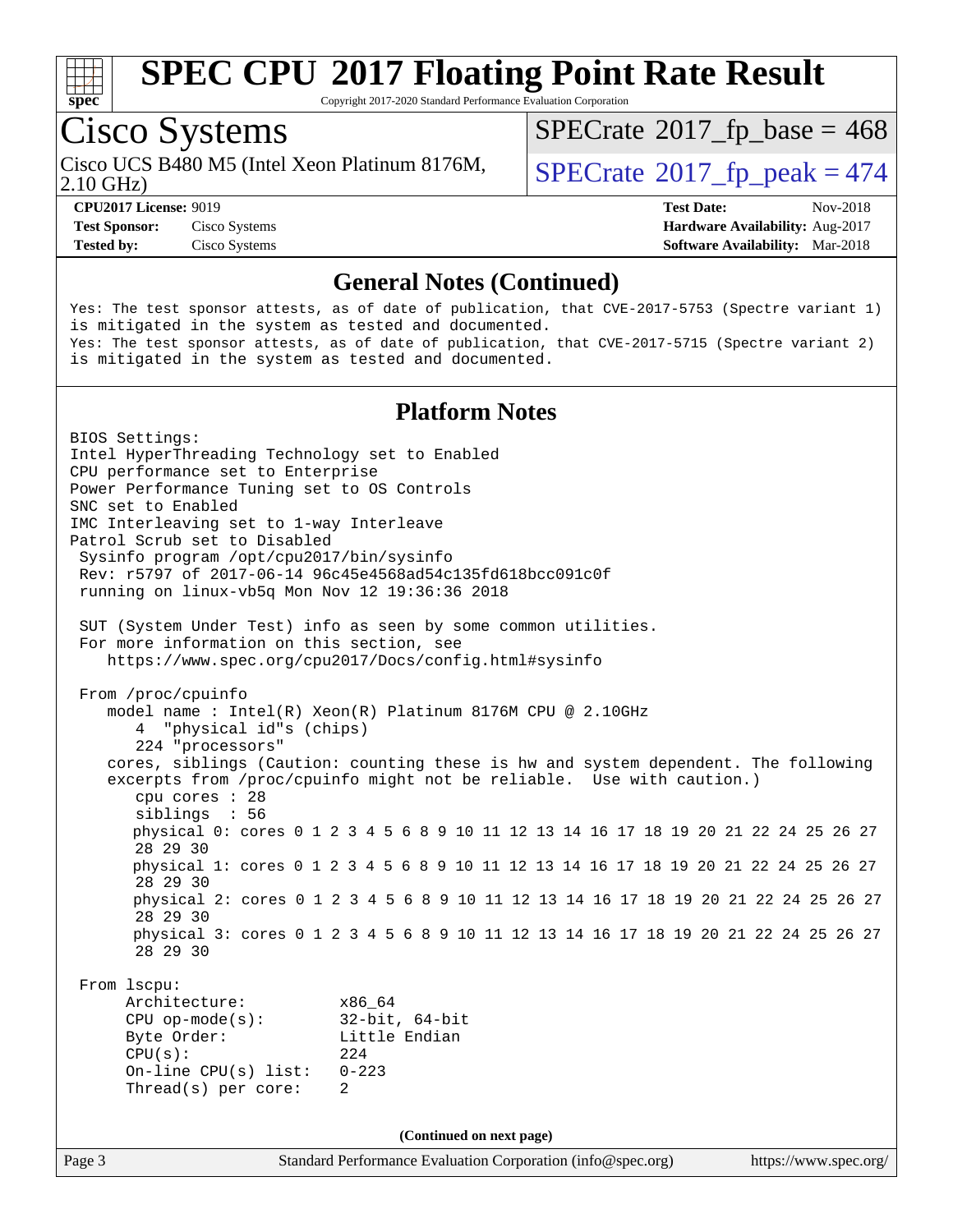

Copyright 2017-2020 Standard Performance Evaluation Corporation

## Cisco Systems

Cisco UCS B480 M5 (Intel Xeon Platinum 8176M,<br>2.10 GHz)

 $SPECTate$ <sup>®</sup>[2017\\_fp\\_base =](http://www.spec.org/auto/cpu2017/Docs/result-fields.html#SPECrate2017fpbase) 468

 $SPECTate$ <sup>®</sup>[2017\\_fp\\_peak = 4](http://www.spec.org/auto/cpu2017/Docs/result-fields.html#SPECrate2017fppeak)74

**[Tested by:](http://www.spec.org/auto/cpu2017/Docs/result-fields.html#Testedby)** Cisco Systems **[Software Availability:](http://www.spec.org/auto/cpu2017/Docs/result-fields.html#SoftwareAvailability)** Mar-2018

**[CPU2017 License:](http://www.spec.org/auto/cpu2017/Docs/result-fields.html#CPU2017License)** 9019 **[Test Date:](http://www.spec.org/auto/cpu2017/Docs/result-fields.html#TestDate)** Nov-2018 **[Test Sponsor:](http://www.spec.org/auto/cpu2017/Docs/result-fields.html#TestSponsor)** Cisco Systems **[Hardware Availability:](http://www.spec.org/auto/cpu2017/Docs/result-fields.html#HardwareAvailability)** Aug-2017

#### **[General Notes \(Continued\)](http://www.spec.org/auto/cpu2017/Docs/result-fields.html#GeneralNotes)**

Yes: The test sponsor attests, as of date of publication, that CVE-2017-5753 (Spectre variant 1) is mitigated in the system as tested and documented. Yes: The test sponsor attests, as of date of publication, that CVE-2017-5715 (Spectre variant 2) is mitigated in the system as tested and documented.

#### **[Platform Notes](http://www.spec.org/auto/cpu2017/Docs/result-fields.html#PlatformNotes)**

Page 3 Standard Performance Evaluation Corporation [\(info@spec.org\)](mailto:info@spec.org) <https://www.spec.org/> BIOS Settings: Intel HyperThreading Technology set to Enabled CPU performance set to Enterprise Power Performance Tuning set to OS Controls SNC set to Enabled IMC Interleaving set to 1-way Interleave Patrol Scrub set to Disabled Sysinfo program /opt/cpu2017/bin/sysinfo Rev: r5797 of 2017-06-14 96c45e4568ad54c135fd618bcc091c0f running on linux-vb5q Mon Nov 12 19:36:36 2018 SUT (System Under Test) info as seen by some common utilities. For more information on this section, see <https://www.spec.org/cpu2017/Docs/config.html#sysinfo> From /proc/cpuinfo model name : Intel(R) Xeon(R) Platinum 8176M CPU @ 2.10GHz 4 "physical id"s (chips) 224 "processors" cores, siblings (Caution: counting these is hw and system dependent. The following excerpts from /proc/cpuinfo might not be reliable. Use with caution.) cpu cores : 28 siblings : 56 physical 0: cores 0 1 2 3 4 5 6 8 9 10 11 12 13 14 16 17 18 19 20 21 22 24 25 26 27 28 29 30 physical 1: cores 0 1 2 3 4 5 6 8 9 10 11 12 13 14 16 17 18 19 20 21 22 24 25 26 27 28 29 30 physical 2: cores 0 1 2 3 4 5 6 8 9 10 11 12 13 14 16 17 18 19 20 21 22 24 25 26 27 28 29 30 physical 3: cores 0 1 2 3 4 5 6 8 9 10 11 12 13 14 16 17 18 19 20 21 22 24 25 26 27 28 29 30 From lscpu: Architecture: x86\_64 CPU op-mode(s): 32-bit, 64-bit Byte Order: Little Endian CPU(s): 224 On-line CPU(s) list: 0-223 Thread(s) per core: 2 **(Continued on next page)**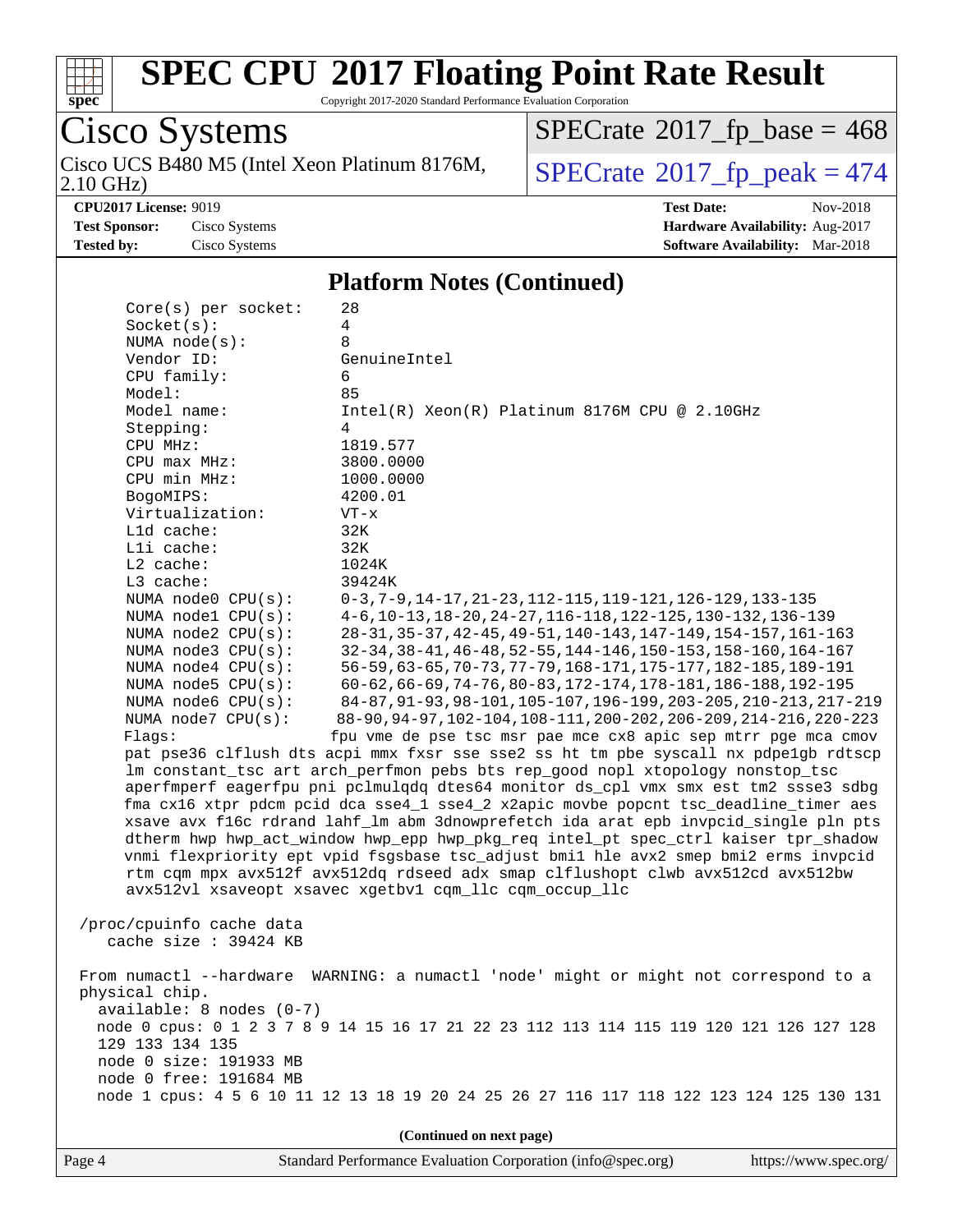

Copyright 2017-2020 Standard Performance Evaluation Corporation

Cisco Systems 2.10 GHz) Cisco UCS B480 M5 (Intel Xeon Platinum 8176M,  $SPECrate@2017_fp\_peak = 474$  $SPECrate@2017_fp\_peak = 474$ 

 $SPECrate$ <sup>®</sup>[2017\\_fp\\_base =](http://www.spec.org/auto/cpu2017/Docs/result-fields.html#SPECrate2017fpbase) 468

**[CPU2017 License:](http://www.spec.org/auto/cpu2017/Docs/result-fields.html#CPU2017License)** 9019 **[Test Date:](http://www.spec.org/auto/cpu2017/Docs/result-fields.html#TestDate)** Nov-2018 **[Test Sponsor:](http://www.spec.org/auto/cpu2017/Docs/result-fields.html#TestSponsor)** Cisco Systems **[Hardware Availability:](http://www.spec.org/auto/cpu2017/Docs/result-fields.html#HardwareAvailability)** Aug-2017 **[Tested by:](http://www.spec.org/auto/cpu2017/Docs/result-fields.html#Testedby)** Cisco Systems **[Software Availability:](http://www.spec.org/auto/cpu2017/Docs/result-fields.html#SoftwareAvailability)** Mar-2018

#### **[Platform Notes \(Continued\)](http://www.spec.org/auto/cpu2017/Docs/result-fields.html#PlatformNotes)**

| (Continued on next page)                                                                                                                                                                                                                                                                                                                                                                                                                  |                                                                                                                                                                                                                                                                                                                                                                                                                                                                                                                                                                                                                                                                                                                                                                                                                                                                                                                                                                                                                                                                                                                                                                                                                                                                                                                                                                                                                                                                                                                                                                                 |  |  |  |  |
|-------------------------------------------------------------------------------------------------------------------------------------------------------------------------------------------------------------------------------------------------------------------------------------------------------------------------------------------------------------------------------------------------------------------------------------------|---------------------------------------------------------------------------------------------------------------------------------------------------------------------------------------------------------------------------------------------------------------------------------------------------------------------------------------------------------------------------------------------------------------------------------------------------------------------------------------------------------------------------------------------------------------------------------------------------------------------------------------------------------------------------------------------------------------------------------------------------------------------------------------------------------------------------------------------------------------------------------------------------------------------------------------------------------------------------------------------------------------------------------------------------------------------------------------------------------------------------------------------------------------------------------------------------------------------------------------------------------------------------------------------------------------------------------------------------------------------------------------------------------------------------------------------------------------------------------------------------------------------------------------------------------------------------------|--|--|--|--|
| From numactl --hardware<br>WARNING: a numactl 'node' might or might not correspond to a<br>physical chip.<br>$available: 8 nodes (0-7)$<br>node 0 cpus: 0 1 2 3 7 8 9 14 15 16 17 21 22 23 112 113 114 115 119 120 121 126 127 128<br>129 133 134 135<br>node 0 size: 191933 MB<br>node 0 free: 191684 MB<br>node 1 cpus: 4 5 6 10 11 12 13 18 19 20 24 25 26 27 116 117 118 122 123 124 125 130 131                                      |                                                                                                                                                                                                                                                                                                                                                                                                                                                                                                                                                                                                                                                                                                                                                                                                                                                                                                                                                                                                                                                                                                                                                                                                                                                                                                                                                                                                                                                                                                                                                                                 |  |  |  |  |
| /proc/cpuinfo cache data<br>cache size : 39424 KB                                                                                                                                                                                                                                                                                                                                                                                         |                                                                                                                                                                                                                                                                                                                                                                                                                                                                                                                                                                                                                                                                                                                                                                                                                                                                                                                                                                                                                                                                                                                                                                                                                                                                                                                                                                                                                                                                                                                                                                                 |  |  |  |  |
| Socket(s):<br>NUMA $node(s)$ :<br>Vendor ID:<br>CPU family:<br>Model:<br>Model name:<br>Stepping:<br>CPU MHz:<br>CPU max MHz:<br>CPU min MHz:<br>BogoMIPS:<br>Virtualization:<br>L1d cache:<br>Lli cache:<br>L2 cache:<br>L3 cache:<br>NUMA node0 CPU(s):<br>NUMA nodel CPU(s):<br>NUMA node2 CPU(s):<br>NUMA node3 CPU(s):<br>NUMA node4 CPU(s):<br>NUMA $node5$ CPU $(s)$ :<br>NUMA node6 CPU(s):<br>NUMA $node7$ CPU $(s)$ :<br>Flags: | 4<br>8<br>GenuineIntel<br>6<br>85<br>Intel(R) Xeon(R) Platinum 8176M CPU @ 2.10GHz<br>4<br>1819.577<br>3800.0000<br>1000.0000<br>4200.01<br>$VT - x$<br>32K<br>32K<br>1024K<br>39424K<br>$0-3, 7-9, 14-17, 21-23, 112-115, 119-121, 126-129, 133-135$<br>4-6, 10-13, 18-20, 24-27, 116-118, 122-125, 130-132, 136-139<br>28-31, 35-37, 42-45, 49-51, 140-143, 147-149, 154-157, 161-163<br>32-34, 38-41, 46-48, 52-55, 144-146, 150-153, 158-160, 164-167<br>56-59, 63-65, 70-73, 77-79, 168-171, 175-177, 182-185, 189-191<br>60-62, 66-69, 74-76, 80-83, 172-174, 178-181, 186-188, 192-195<br>84-87, 91-93, 98-101, 105-107, 196-199, 203-205, 210-213, 217-219<br>88-90, 94-97, 102-104, 108-111, 200-202, 206-209, 214-216, 220-223<br>fpu vme de pse tsc msr pae mce cx8 apic sep mtrr pge mca cmov<br>pat pse36 clflush dts acpi mmx fxsr sse sse2 ss ht tm pbe syscall nx pdpelgb rdtscp<br>lm constant_tsc art arch_perfmon pebs bts rep_good nopl xtopology nonstop_tsc<br>aperfmperf eagerfpu pni pclmulqdq dtes64 monitor ds_cpl vmx smx est tm2 ssse3 sdbg<br>fma cx16 xtpr pdcm pcid dca sse4_1 sse4_2 x2apic movbe popcnt tsc_deadline_timer aes<br>xsave avx f16c rdrand lahf_lm abm 3dnowprefetch ida arat epb invpcid_single pln pts<br>dtherm hwp hwp_act_window hwp_epp hwp_pkg_req intel_pt spec_ctrl kaiser tpr_shadow<br>vnmi flexpriority ept vpid fsgsbase tsc_adjust bmil hle avx2 smep bmi2 erms invpcid<br>rtm cqm mpx avx512f avx512dq rdseed adx smap clflushopt clwb avx512cd avx512bw<br>avx512vl xsaveopt xsavec xgetbvl cqm_llc cqm_occup_llc |  |  |  |  |
| $Core(s)$ per socket:                                                                                                                                                                                                                                                                                                                                                                                                                     | 28                                                                                                                                                                                                                                                                                                                                                                                                                                                                                                                                                                                                                                                                                                                                                                                                                                                                                                                                                                                                                                                                                                                                                                                                                                                                                                                                                                                                                                                                                                                                                                              |  |  |  |  |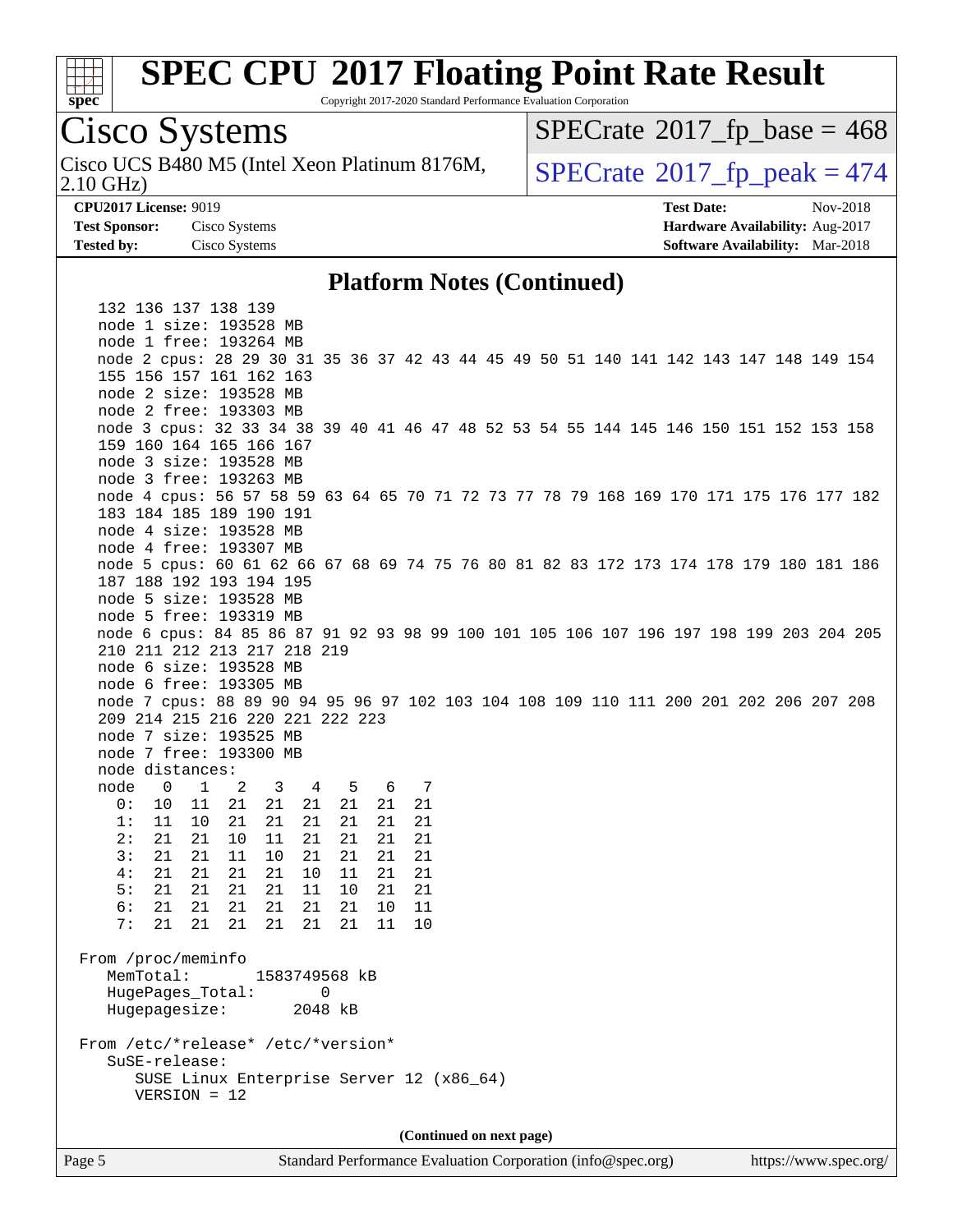

Copyright 2017-2020 Standard Performance Evaluation Corporation

## Cisco Systems

2.10 GHz) Cisco UCS B480 M5 (Intel Xeon Platinum 8176M,  $\big|$  [SPECrate](http://www.spec.org/auto/cpu2017/Docs/result-fields.html#SPECrate2017fppeak)®[2017\\_fp\\_peak = 4](http://www.spec.org/auto/cpu2017/Docs/result-fields.html#SPECrate2017fppeak)74

 $SPECTate$ <sup>®</sup>[2017\\_fp\\_base =](http://www.spec.org/auto/cpu2017/Docs/result-fields.html#SPECrate2017fpbase) 468

**[CPU2017 License:](http://www.spec.org/auto/cpu2017/Docs/result-fields.html#CPU2017License)** 9019 **[Test Date:](http://www.spec.org/auto/cpu2017/Docs/result-fields.html#TestDate)** Nov-2018 **[Test Sponsor:](http://www.spec.org/auto/cpu2017/Docs/result-fields.html#TestSponsor)** Cisco Systems **[Hardware Availability:](http://www.spec.org/auto/cpu2017/Docs/result-fields.html#HardwareAvailability)** Aug-2017 **[Tested by:](http://www.spec.org/auto/cpu2017/Docs/result-fields.html#Testedby)** Cisco Systems **[Software Availability:](http://www.spec.org/auto/cpu2017/Docs/result-fields.html#SoftwareAvailability)** Mar-2018

#### **[Platform Notes \(Continued\)](http://www.spec.org/auto/cpu2017/Docs/result-fields.html#PlatformNotes)**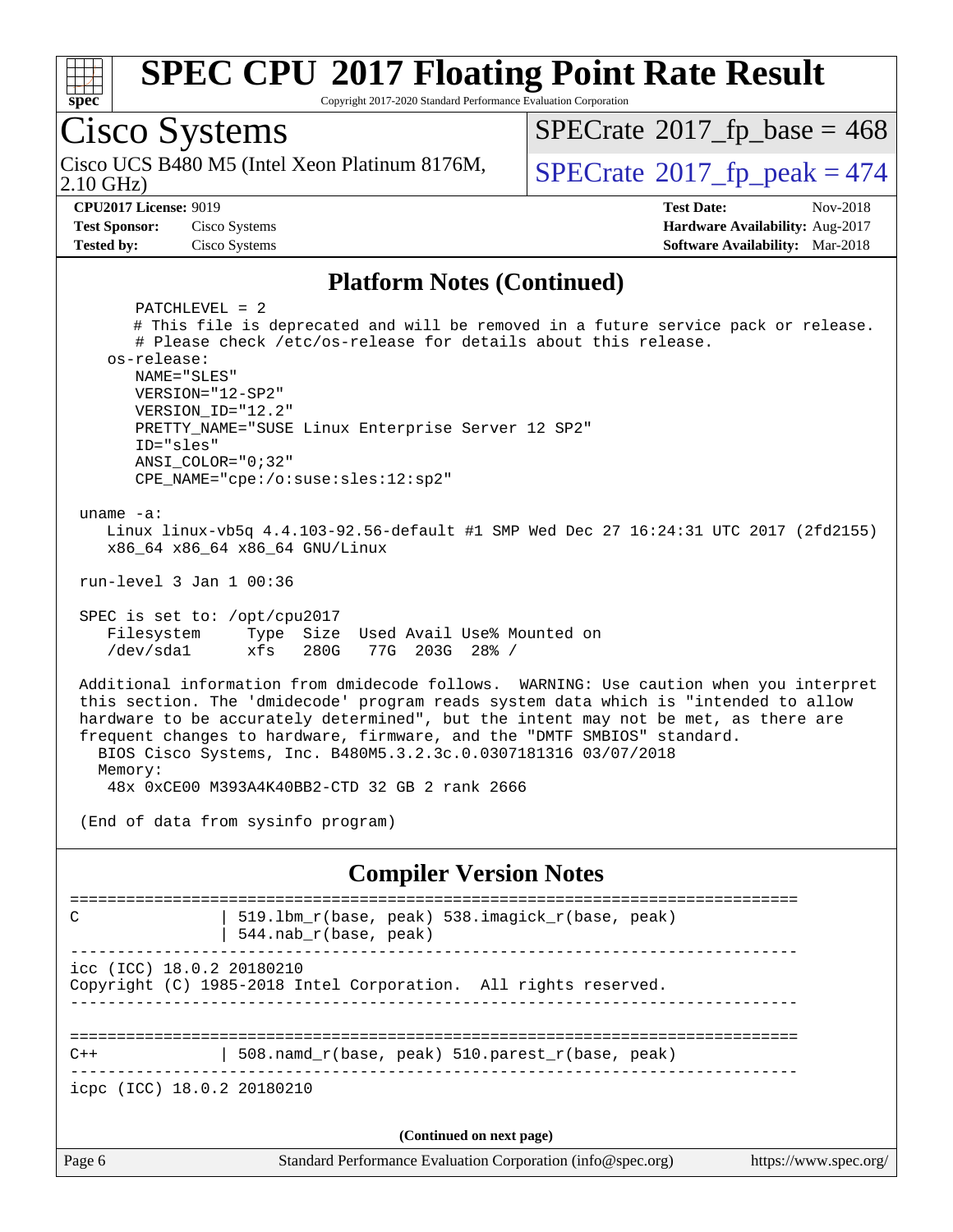

Copyright 2017-2020 Standard Performance Evaluation Corporation

Cisco Systems 2.10 GHz) Cisco UCS B480 M5 (Intel Xeon Platinum 8176M,  $\big|$  [SPECrate](http://www.spec.org/auto/cpu2017/Docs/result-fields.html#SPECrate2017fppeak)®[2017\\_fp\\_peak = 4](http://www.spec.org/auto/cpu2017/Docs/result-fields.html#SPECrate2017fppeak)74  $SPECTate$ <sup>®</sup>[2017\\_fp\\_base =](http://www.spec.org/auto/cpu2017/Docs/result-fields.html#SPECrate2017fpbase) 468 **[CPU2017 License:](http://www.spec.org/auto/cpu2017/Docs/result-fields.html#CPU2017License)** 9019 **[Test Date:](http://www.spec.org/auto/cpu2017/Docs/result-fields.html#TestDate)** Nov-2018 **[Test Sponsor:](http://www.spec.org/auto/cpu2017/Docs/result-fields.html#TestSponsor)** Cisco Systems **[Hardware Availability:](http://www.spec.org/auto/cpu2017/Docs/result-fields.html#HardwareAvailability)** Aug-2017 **[Tested by:](http://www.spec.org/auto/cpu2017/Docs/result-fields.html#Testedby)** Cisco Systems **[Software Availability:](http://www.spec.org/auto/cpu2017/Docs/result-fields.html#SoftwareAvailability)** Mar-2018 **[Platform Notes \(Continued\)](http://www.spec.org/auto/cpu2017/Docs/result-fields.html#PlatformNotes)** PATCHLEVEL = 2 # This file is deprecated and will be removed in a future service pack or release. # Please check /etc/os-release for details about this release. os-release: NAME="SLES" VERSION="12-SP2" VERSION\_ID="12.2" PRETTY\_NAME="SUSE Linux Enterprise Server 12 SP2" ID="sles" ANSI\_COLOR="0;32" CPE\_NAME="cpe:/o:suse:sles:12:sp2" uname -a: Linux linux-vb5q 4.4.103-92.56-default #1 SMP Wed Dec 27 16:24:31 UTC 2017 (2fd2155) x86\_64 x86\_64 x86\_64 GNU/Linux run-level 3 Jan 1 00:36 SPEC is set to: /opt/cpu2017 Filesystem Type Size Used Avail Use% Mounted on /dev/sda1 xfs 280G 77G 203G 28% / Additional information from dmidecode follows. WARNING: Use caution when you interpret this section. The 'dmidecode' program reads system data which is "intended to allow hardware to be accurately determined", but the intent may not be met, as there are frequent changes to hardware, firmware, and the "DMTF SMBIOS" standard. BIOS Cisco Systems, Inc. B480M5.3.2.3c.0.0307181316 03/07/2018 Memory: 48x 0xCE00 M393A4K40BB2-CTD 32 GB 2 rank 2666 (End of data from sysinfo program) **[Compiler Version Notes](http://www.spec.org/auto/cpu2017/Docs/result-fields.html#CompilerVersionNotes)** ============================================================================== C | 519.lbm\_r(base, peak) 538.imagick\_r(base, peak) | 544.nab\_r(base, peak) ----------------------------------------------------------------------------- icc (ICC) 18.0.2 20180210 Copyright (C) 1985-2018 Intel Corporation. All rights reserved. ------------------------------------------------------------------------------ ==============================================================================  $C++$  | 508.namd\_r(base, peak) 510.parest\_r(base, peak) ----------------------------------------------------------------------------- icpc (ICC) 18.0.2 20180210

**(Continued on next page)**

Page 6 Standard Performance Evaluation Corporation [\(info@spec.org\)](mailto:info@spec.org) <https://www.spec.org/>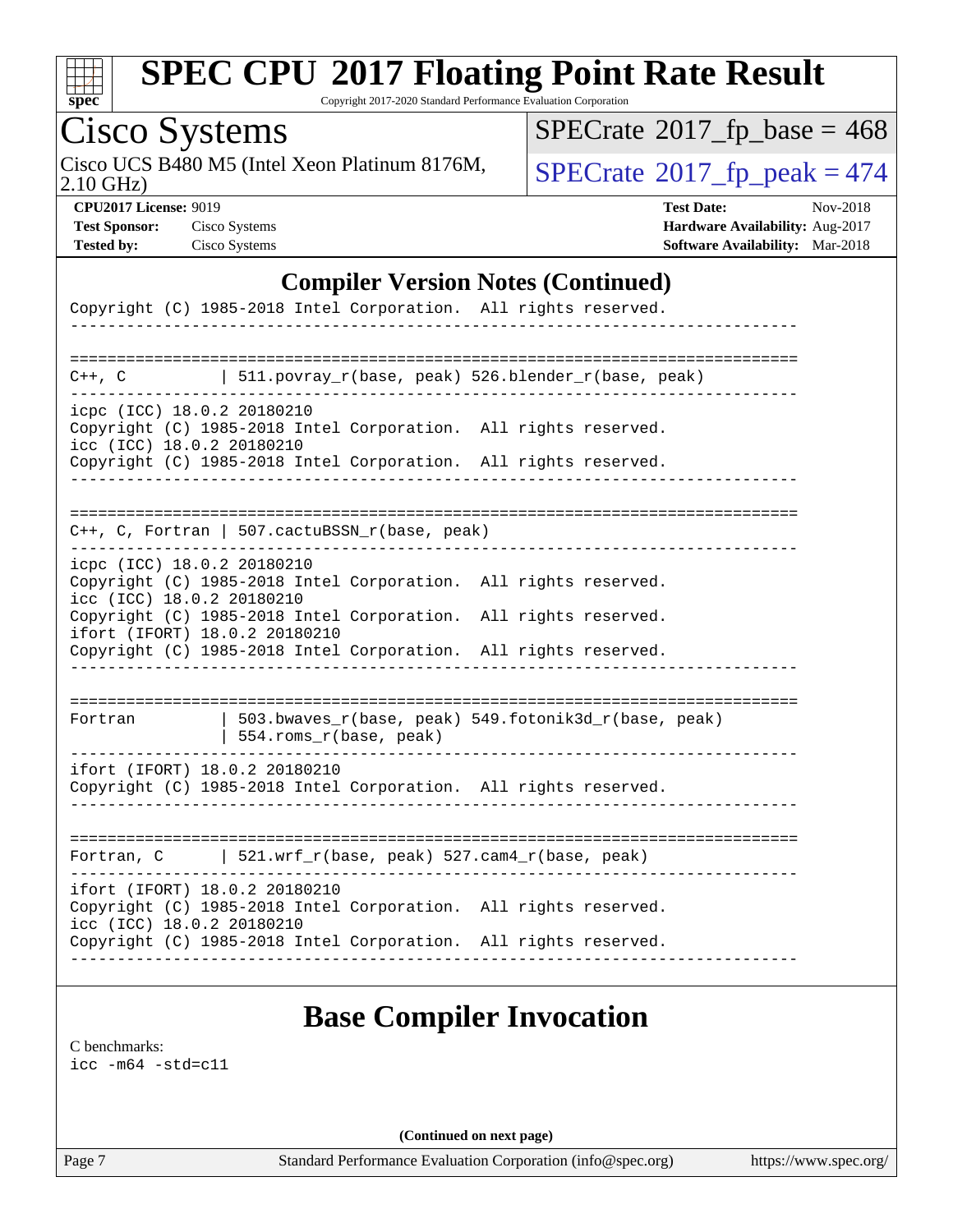

Copyright 2017-2020 Standard Performance Evaluation Corporation

# Cisco Systems

Cisco UCS B480 M5 (Intel Xeon Platinum 8176M,  $SPECrate@2017_fp\_peak = 474$  $SPECrate@2017_fp\_peak = 474$ 

 $SPECrate$ <sup>®</sup>[2017\\_fp\\_base =](http://www.spec.org/auto/cpu2017/Docs/result-fields.html#SPECrate2017fpbase) 468

2.10 GHz)

**[CPU2017 License:](http://www.spec.org/auto/cpu2017/Docs/result-fields.html#CPU2017License)** 9019 **[Test Date:](http://www.spec.org/auto/cpu2017/Docs/result-fields.html#TestDate)** Nov-2018 **[Test Sponsor:](http://www.spec.org/auto/cpu2017/Docs/result-fields.html#TestSponsor)** Cisco Systems **[Hardware Availability:](http://www.spec.org/auto/cpu2017/Docs/result-fields.html#HardwareAvailability)** Aug-2017 **[Tested by:](http://www.spec.org/auto/cpu2017/Docs/result-fields.html#Testedby)** Cisco Systems **[Software Availability:](http://www.spec.org/auto/cpu2017/Docs/result-fields.html#SoftwareAvailability)** Mar-2018

#### **[Compiler Version Notes \(Continued\)](http://www.spec.org/auto/cpu2017/Docs/result-fields.html#CompilerVersionNotes)**

|                                                         | Copyright (C) 1985-2018 Intel Corporation. All rights reserved.                                                                                                                                                                        |
|---------------------------------------------------------|----------------------------------------------------------------------------------------------------------------------------------------------------------------------------------------------------------------------------------------|
|                                                         | ---------------------                                                                                                                                                                                                                  |
|                                                         | $C++$ , C $\qquad$ 511.povray_r(base, peak) 526.blender_r(base, peak)                                                                                                                                                                  |
| icpc (ICC) 18.0.2 20180210<br>icc (ICC) 18.0.2 20180210 | Copyright (C) 1985-2018 Intel Corporation. All rights reserved.<br>Copyright (C) 1985-2018 Intel Corporation. All rights reserved.                                                                                                     |
|                                                         | $C++$ , C, Fortran   507.cactuBSSN_r(base, peak)                                                                                                                                                                                       |
| icpc (ICC) 18.0.2 20180210<br>icc (ICC) 18.0.2 20180210 | Copyright (C) 1985-2018 Intel Corporation. All rights reserved.<br>Copyright (C) 1985-2018 Intel Corporation. All rights reserved.<br>ifort (IFORT) 18.0.2 20180210<br>Copyright (C) 1985-2018 Intel Corporation. All rights reserved. |
| Fortran                                                 | -------------------------------<br>503.bwaves_r(base, peak) 549.fotonik3d_r(base, peak)<br>554.roms_r(base, peak)                                                                                                                      |
|                                                         | ifort (IFORT) 18.0.2 20180210<br>Copyright (C) 1985-2018 Intel Corporation. All rights reserved.                                                                                                                                       |
|                                                         | Fortran, C   521.wrf_r(base, peak) $527.cam4_r(base, peak)$                                                                                                                                                                            |
| icc (ICC) 18.0.2 20180210                               | ifort (IFORT) 18.0.2 20180210<br>Copyright (C) 1985-2018 Intel Corporation. All rights reserved.<br>Copyright (C) 1985-2018 Intel Corporation. All rights reserved.                                                                    |
|                                                         |                                                                                                                                                                                                                                        |

### **[Base Compiler Invocation](http://www.spec.org/auto/cpu2017/Docs/result-fields.html#BaseCompilerInvocation)**

[C benchmarks](http://www.spec.org/auto/cpu2017/Docs/result-fields.html#Cbenchmarks): [icc -m64 -std=c11](http://www.spec.org/cpu2017/results/res2018q4/cpu2017-20181127-09972.flags.html#user_CCbase_intel_icc_64bit_c11_33ee0cdaae7deeeab2a9725423ba97205ce30f63b9926c2519791662299b76a0318f32ddfffdc46587804de3178b4f9328c46fa7c2b0cd779d7a61945c91cd35)

**(Continued on next page)**

Page 7 Standard Performance Evaluation Corporation [\(info@spec.org\)](mailto:info@spec.org) <https://www.spec.org/>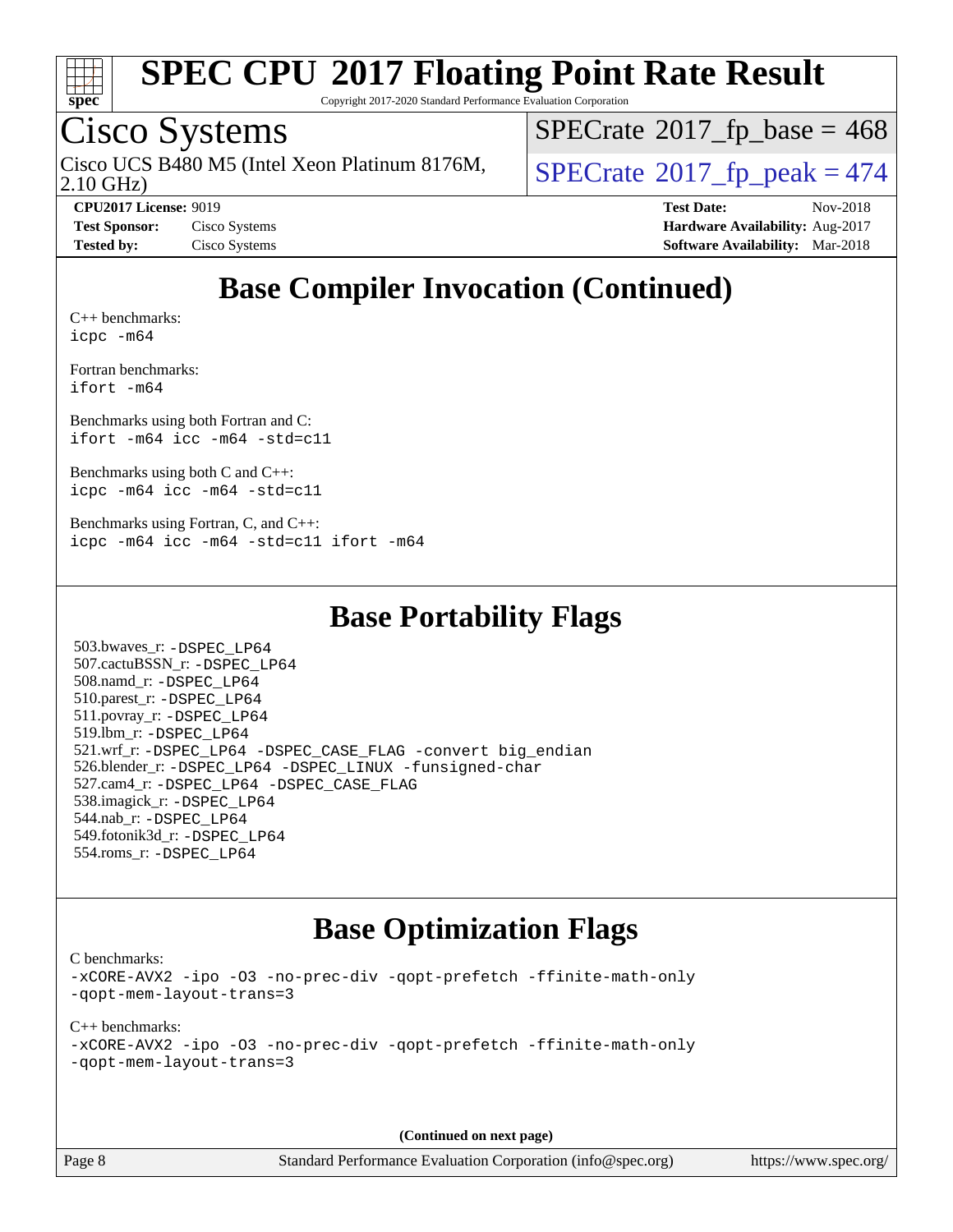

Copyright 2017-2020 Standard Performance Evaluation Corporation

### Cisco Systems

Cisco UCS B480 M5 (Intel Xeon Platinum 8176M,  $\big|$  [SPECrate](http://www.spec.org/auto/cpu2017/Docs/result-fields.html#SPECrate2017fppeak)®[2017\\_fp\\_peak = 4](http://www.spec.org/auto/cpu2017/Docs/result-fields.html#SPECrate2017fppeak)74

 $SPECTate$ <sup>®</sup>[2017\\_fp\\_base =](http://www.spec.org/auto/cpu2017/Docs/result-fields.html#SPECrate2017fpbase) 468

2.10 GHz)

**[CPU2017 License:](http://www.spec.org/auto/cpu2017/Docs/result-fields.html#CPU2017License)** 9019 **[Test Date:](http://www.spec.org/auto/cpu2017/Docs/result-fields.html#TestDate)** Nov-2018 **[Test Sponsor:](http://www.spec.org/auto/cpu2017/Docs/result-fields.html#TestSponsor)** Cisco Systems **Cisco Systems [Hardware Availability:](http://www.spec.org/auto/cpu2017/Docs/result-fields.html#HardwareAvailability)** Aug-2017 **[Tested by:](http://www.spec.org/auto/cpu2017/Docs/result-fields.html#Testedby)** Cisco Systems **[Software Availability:](http://www.spec.org/auto/cpu2017/Docs/result-fields.html#SoftwareAvailability)** Mar-2018

## **[Base Compiler Invocation \(Continued\)](http://www.spec.org/auto/cpu2017/Docs/result-fields.html#BaseCompilerInvocation)**

[C++ benchmarks:](http://www.spec.org/auto/cpu2017/Docs/result-fields.html#CXXbenchmarks) [icpc -m64](http://www.spec.org/cpu2017/results/res2018q4/cpu2017-20181127-09972.flags.html#user_CXXbase_intel_icpc_64bit_4ecb2543ae3f1412ef961e0650ca070fec7b7afdcd6ed48761b84423119d1bf6bdf5cad15b44d48e7256388bc77273b966e5eb805aefd121eb22e9299b2ec9d9)

[Fortran benchmarks](http://www.spec.org/auto/cpu2017/Docs/result-fields.html#Fortranbenchmarks): [ifort -m64](http://www.spec.org/cpu2017/results/res2018q4/cpu2017-20181127-09972.flags.html#user_FCbase_intel_ifort_64bit_24f2bb282fbaeffd6157abe4f878425411749daecae9a33200eee2bee2fe76f3b89351d69a8130dd5949958ce389cf37ff59a95e7a40d588e8d3a57e0c3fd751)

[Benchmarks using both Fortran and C](http://www.spec.org/auto/cpu2017/Docs/result-fields.html#BenchmarksusingbothFortranandC): [ifort -m64](http://www.spec.org/cpu2017/results/res2018q4/cpu2017-20181127-09972.flags.html#user_CC_FCbase_intel_ifort_64bit_24f2bb282fbaeffd6157abe4f878425411749daecae9a33200eee2bee2fe76f3b89351d69a8130dd5949958ce389cf37ff59a95e7a40d588e8d3a57e0c3fd751) [icc -m64 -std=c11](http://www.spec.org/cpu2017/results/res2018q4/cpu2017-20181127-09972.flags.html#user_CC_FCbase_intel_icc_64bit_c11_33ee0cdaae7deeeab2a9725423ba97205ce30f63b9926c2519791662299b76a0318f32ddfffdc46587804de3178b4f9328c46fa7c2b0cd779d7a61945c91cd35)

[Benchmarks using both C and C++](http://www.spec.org/auto/cpu2017/Docs/result-fields.html#BenchmarksusingbothCandCXX): [icpc -m64](http://www.spec.org/cpu2017/results/res2018q4/cpu2017-20181127-09972.flags.html#user_CC_CXXbase_intel_icpc_64bit_4ecb2543ae3f1412ef961e0650ca070fec7b7afdcd6ed48761b84423119d1bf6bdf5cad15b44d48e7256388bc77273b966e5eb805aefd121eb22e9299b2ec9d9) [icc -m64 -std=c11](http://www.spec.org/cpu2017/results/res2018q4/cpu2017-20181127-09972.flags.html#user_CC_CXXbase_intel_icc_64bit_c11_33ee0cdaae7deeeab2a9725423ba97205ce30f63b9926c2519791662299b76a0318f32ddfffdc46587804de3178b4f9328c46fa7c2b0cd779d7a61945c91cd35)

[Benchmarks using Fortran, C, and C++:](http://www.spec.org/auto/cpu2017/Docs/result-fields.html#BenchmarksusingFortranCandCXX) [icpc -m64](http://www.spec.org/cpu2017/results/res2018q4/cpu2017-20181127-09972.flags.html#user_CC_CXX_FCbase_intel_icpc_64bit_4ecb2543ae3f1412ef961e0650ca070fec7b7afdcd6ed48761b84423119d1bf6bdf5cad15b44d48e7256388bc77273b966e5eb805aefd121eb22e9299b2ec9d9) [icc -m64 -std=c11](http://www.spec.org/cpu2017/results/res2018q4/cpu2017-20181127-09972.flags.html#user_CC_CXX_FCbase_intel_icc_64bit_c11_33ee0cdaae7deeeab2a9725423ba97205ce30f63b9926c2519791662299b76a0318f32ddfffdc46587804de3178b4f9328c46fa7c2b0cd779d7a61945c91cd35) [ifort -m64](http://www.spec.org/cpu2017/results/res2018q4/cpu2017-20181127-09972.flags.html#user_CC_CXX_FCbase_intel_ifort_64bit_24f2bb282fbaeffd6157abe4f878425411749daecae9a33200eee2bee2fe76f3b89351d69a8130dd5949958ce389cf37ff59a95e7a40d588e8d3a57e0c3fd751)

#### **[Base Portability Flags](http://www.spec.org/auto/cpu2017/Docs/result-fields.html#BasePortabilityFlags)**

 503.bwaves\_r: [-DSPEC\\_LP64](http://www.spec.org/cpu2017/results/res2018q4/cpu2017-20181127-09972.flags.html#suite_basePORTABILITY503_bwaves_r_DSPEC_LP64) 507.cactuBSSN\_r: [-DSPEC\\_LP64](http://www.spec.org/cpu2017/results/res2018q4/cpu2017-20181127-09972.flags.html#suite_basePORTABILITY507_cactuBSSN_r_DSPEC_LP64) 508.namd\_r: [-DSPEC\\_LP64](http://www.spec.org/cpu2017/results/res2018q4/cpu2017-20181127-09972.flags.html#suite_basePORTABILITY508_namd_r_DSPEC_LP64) 510.parest\_r: [-DSPEC\\_LP64](http://www.spec.org/cpu2017/results/res2018q4/cpu2017-20181127-09972.flags.html#suite_basePORTABILITY510_parest_r_DSPEC_LP64) 511.povray\_r: [-DSPEC\\_LP64](http://www.spec.org/cpu2017/results/res2018q4/cpu2017-20181127-09972.flags.html#suite_basePORTABILITY511_povray_r_DSPEC_LP64) 519.lbm\_r: [-DSPEC\\_LP64](http://www.spec.org/cpu2017/results/res2018q4/cpu2017-20181127-09972.flags.html#suite_basePORTABILITY519_lbm_r_DSPEC_LP64) 521.wrf\_r: [-DSPEC\\_LP64](http://www.spec.org/cpu2017/results/res2018q4/cpu2017-20181127-09972.flags.html#suite_basePORTABILITY521_wrf_r_DSPEC_LP64) [-DSPEC\\_CASE\\_FLAG](http://www.spec.org/cpu2017/results/res2018q4/cpu2017-20181127-09972.flags.html#b521.wrf_r_baseCPORTABILITY_DSPEC_CASE_FLAG) [-convert big\\_endian](http://www.spec.org/cpu2017/results/res2018q4/cpu2017-20181127-09972.flags.html#user_baseFPORTABILITY521_wrf_r_convert_big_endian_c3194028bc08c63ac5d04de18c48ce6d347e4e562e8892b8bdbdc0214820426deb8554edfa529a3fb25a586e65a3d812c835984020483e7e73212c4d31a38223) 526.blender\_r: [-DSPEC\\_LP64](http://www.spec.org/cpu2017/results/res2018q4/cpu2017-20181127-09972.flags.html#suite_basePORTABILITY526_blender_r_DSPEC_LP64) [-DSPEC\\_LINUX](http://www.spec.org/cpu2017/results/res2018q4/cpu2017-20181127-09972.flags.html#b526.blender_r_baseCPORTABILITY_DSPEC_LINUX) [-funsigned-char](http://www.spec.org/cpu2017/results/res2018q4/cpu2017-20181127-09972.flags.html#user_baseCPORTABILITY526_blender_r_force_uchar_40c60f00ab013830e2dd6774aeded3ff59883ba5a1fc5fc14077f794d777847726e2a5858cbc7672e36e1b067e7e5c1d9a74f7176df07886a243d7cc18edfe67) 527.cam4\_r: [-DSPEC\\_LP64](http://www.spec.org/cpu2017/results/res2018q4/cpu2017-20181127-09972.flags.html#suite_basePORTABILITY527_cam4_r_DSPEC_LP64) [-DSPEC\\_CASE\\_FLAG](http://www.spec.org/cpu2017/results/res2018q4/cpu2017-20181127-09972.flags.html#b527.cam4_r_baseCPORTABILITY_DSPEC_CASE_FLAG) 538.imagick\_r: [-DSPEC\\_LP64](http://www.spec.org/cpu2017/results/res2018q4/cpu2017-20181127-09972.flags.html#suite_basePORTABILITY538_imagick_r_DSPEC_LP64) 544.nab\_r: [-DSPEC\\_LP64](http://www.spec.org/cpu2017/results/res2018q4/cpu2017-20181127-09972.flags.html#suite_basePORTABILITY544_nab_r_DSPEC_LP64) 549.fotonik3d\_r: [-DSPEC\\_LP64](http://www.spec.org/cpu2017/results/res2018q4/cpu2017-20181127-09972.flags.html#suite_basePORTABILITY549_fotonik3d_r_DSPEC_LP64) 554.roms\_r: [-DSPEC\\_LP64](http://www.spec.org/cpu2017/results/res2018q4/cpu2017-20181127-09972.flags.html#suite_basePORTABILITY554_roms_r_DSPEC_LP64)

### **[Base Optimization Flags](http://www.spec.org/auto/cpu2017/Docs/result-fields.html#BaseOptimizationFlags)**

[C benchmarks](http://www.spec.org/auto/cpu2017/Docs/result-fields.html#Cbenchmarks):

[-xCORE-AVX2](http://www.spec.org/cpu2017/results/res2018q4/cpu2017-20181127-09972.flags.html#user_CCbase_f-xCORE-AVX2) [-ipo](http://www.spec.org/cpu2017/results/res2018q4/cpu2017-20181127-09972.flags.html#user_CCbase_f-ipo) [-O3](http://www.spec.org/cpu2017/results/res2018q4/cpu2017-20181127-09972.flags.html#user_CCbase_f-O3) [-no-prec-div](http://www.spec.org/cpu2017/results/res2018q4/cpu2017-20181127-09972.flags.html#user_CCbase_f-no-prec-div) [-qopt-prefetch](http://www.spec.org/cpu2017/results/res2018q4/cpu2017-20181127-09972.flags.html#user_CCbase_f-qopt-prefetch) [-ffinite-math-only](http://www.spec.org/cpu2017/results/res2018q4/cpu2017-20181127-09972.flags.html#user_CCbase_f_finite_math_only_cb91587bd2077682c4b38af759c288ed7c732db004271a9512da14a4f8007909a5f1427ecbf1a0fb78ff2a814402c6114ac565ca162485bbcae155b5e4258871) [-qopt-mem-layout-trans=3](http://www.spec.org/cpu2017/results/res2018q4/cpu2017-20181127-09972.flags.html#user_CCbase_f-qopt-mem-layout-trans_de80db37974c74b1f0e20d883f0b675c88c3b01e9d123adea9b28688d64333345fb62bc4a798493513fdb68f60282f9a726aa07f478b2f7113531aecce732043)

[C++ benchmarks:](http://www.spec.org/auto/cpu2017/Docs/result-fields.html#CXXbenchmarks) [-xCORE-AVX2](http://www.spec.org/cpu2017/results/res2018q4/cpu2017-20181127-09972.flags.html#user_CXXbase_f-xCORE-AVX2) [-ipo](http://www.spec.org/cpu2017/results/res2018q4/cpu2017-20181127-09972.flags.html#user_CXXbase_f-ipo) [-O3](http://www.spec.org/cpu2017/results/res2018q4/cpu2017-20181127-09972.flags.html#user_CXXbase_f-O3) [-no-prec-div](http://www.spec.org/cpu2017/results/res2018q4/cpu2017-20181127-09972.flags.html#user_CXXbase_f-no-prec-div) [-qopt-prefetch](http://www.spec.org/cpu2017/results/res2018q4/cpu2017-20181127-09972.flags.html#user_CXXbase_f-qopt-prefetch) [-ffinite-math-only](http://www.spec.org/cpu2017/results/res2018q4/cpu2017-20181127-09972.flags.html#user_CXXbase_f_finite_math_only_cb91587bd2077682c4b38af759c288ed7c732db004271a9512da14a4f8007909a5f1427ecbf1a0fb78ff2a814402c6114ac565ca162485bbcae155b5e4258871) [-qopt-mem-layout-trans=3](http://www.spec.org/cpu2017/results/res2018q4/cpu2017-20181127-09972.flags.html#user_CXXbase_f-qopt-mem-layout-trans_de80db37974c74b1f0e20d883f0b675c88c3b01e9d123adea9b28688d64333345fb62bc4a798493513fdb68f60282f9a726aa07f478b2f7113531aecce732043)

**(Continued on next page)**

Page 8 Standard Performance Evaluation Corporation [\(info@spec.org\)](mailto:info@spec.org) <https://www.spec.org/>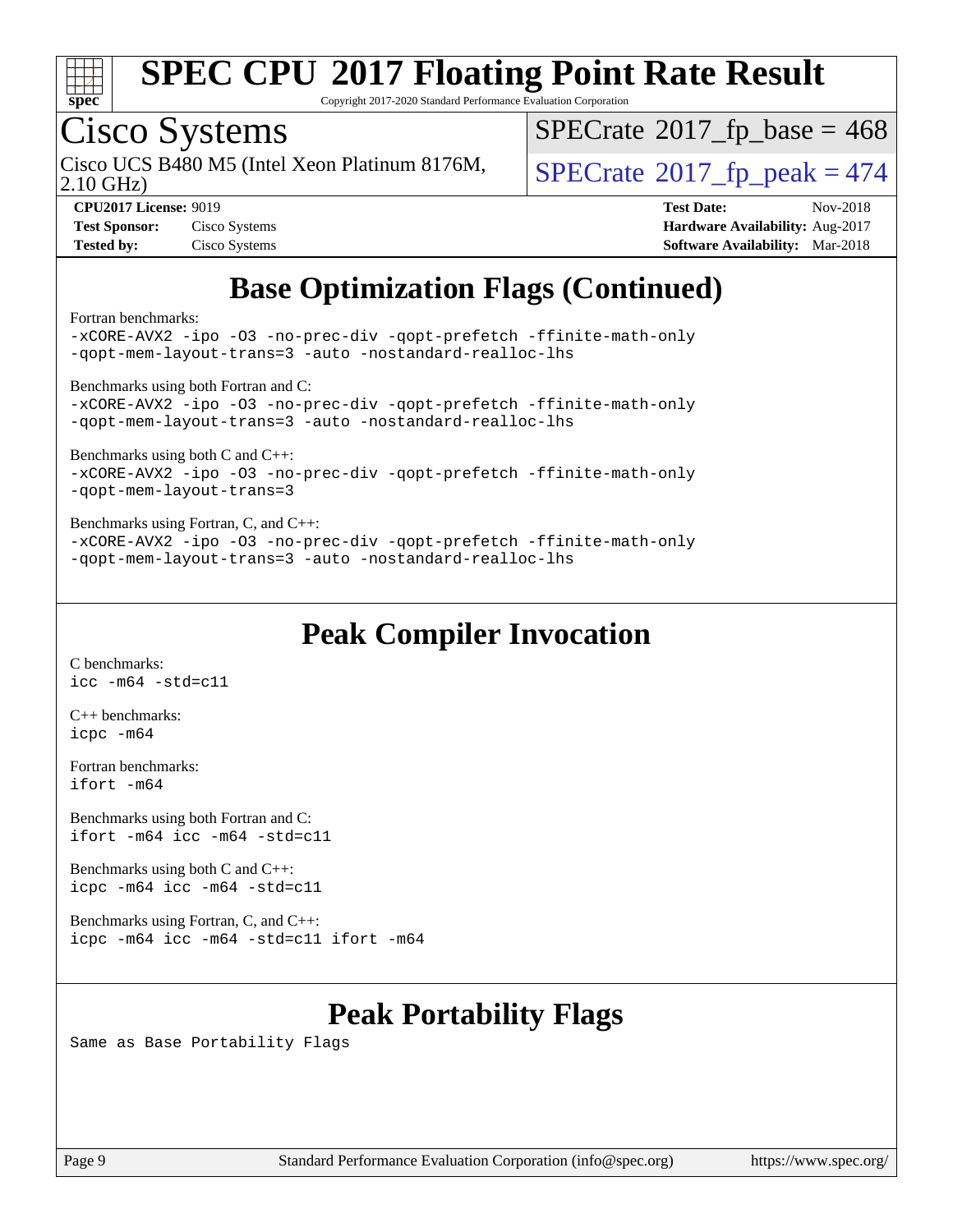

Copyright 2017-2020 Standard Performance Evaluation Corporation

## Cisco Systems

Cisco UCS B480 M5 (Intel Xeon Platinum 8176M,  $\big|$  [SPECrate](http://www.spec.org/auto/cpu2017/Docs/result-fields.html#SPECrate2017fppeak)®[2017\\_fp\\_peak = 4](http://www.spec.org/auto/cpu2017/Docs/result-fields.html#SPECrate2017fppeak)74

 $SPECTate$ <sup>®</sup>[2017\\_fp\\_base =](http://www.spec.org/auto/cpu2017/Docs/result-fields.html#SPECrate2017fpbase) 468

2.10 GHz)

| Test Sponsor:     | Cisco Systems |
|-------------------|---------------|
| <b>Tested by:</b> | Cisco Systems |

**[CPU2017 License:](http://www.spec.org/auto/cpu2017/Docs/result-fields.html#CPU2017License)** 9019 **[Test Date:](http://www.spec.org/auto/cpu2017/Docs/result-fields.html#TestDate)** Nov-2018 **[Hardware Availability:](http://www.spec.org/auto/cpu2017/Docs/result-fields.html#HardwareAvailability)** Aug-2017 **[Software Availability:](http://www.spec.org/auto/cpu2017/Docs/result-fields.html#SoftwareAvailability)** Mar-2018

## **[Base Optimization Flags \(Continued\)](http://www.spec.org/auto/cpu2017/Docs/result-fields.html#BaseOptimizationFlags)**

[Fortran benchmarks](http://www.spec.org/auto/cpu2017/Docs/result-fields.html#Fortranbenchmarks):

[-xCORE-AVX2](http://www.spec.org/cpu2017/results/res2018q4/cpu2017-20181127-09972.flags.html#user_FCbase_f-xCORE-AVX2) [-ipo](http://www.spec.org/cpu2017/results/res2018q4/cpu2017-20181127-09972.flags.html#user_FCbase_f-ipo) [-O3](http://www.spec.org/cpu2017/results/res2018q4/cpu2017-20181127-09972.flags.html#user_FCbase_f-O3) [-no-prec-div](http://www.spec.org/cpu2017/results/res2018q4/cpu2017-20181127-09972.flags.html#user_FCbase_f-no-prec-div) [-qopt-prefetch](http://www.spec.org/cpu2017/results/res2018q4/cpu2017-20181127-09972.flags.html#user_FCbase_f-qopt-prefetch) [-ffinite-math-only](http://www.spec.org/cpu2017/results/res2018q4/cpu2017-20181127-09972.flags.html#user_FCbase_f_finite_math_only_cb91587bd2077682c4b38af759c288ed7c732db004271a9512da14a4f8007909a5f1427ecbf1a0fb78ff2a814402c6114ac565ca162485bbcae155b5e4258871) [-qopt-mem-layout-trans=3](http://www.spec.org/cpu2017/results/res2018q4/cpu2017-20181127-09972.flags.html#user_FCbase_f-qopt-mem-layout-trans_de80db37974c74b1f0e20d883f0b675c88c3b01e9d123adea9b28688d64333345fb62bc4a798493513fdb68f60282f9a726aa07f478b2f7113531aecce732043) [-auto](http://www.spec.org/cpu2017/results/res2018q4/cpu2017-20181127-09972.flags.html#user_FCbase_f-auto) [-nostandard-realloc-lhs](http://www.spec.org/cpu2017/results/res2018q4/cpu2017-20181127-09972.flags.html#user_FCbase_f_2003_std_realloc_82b4557e90729c0f113870c07e44d33d6f5a304b4f63d4c15d2d0f1fab99f5daaed73bdb9275d9ae411527f28b936061aa8b9c8f2d63842963b95c9dd6426b8a)

[Benchmarks using both Fortran and C](http://www.spec.org/auto/cpu2017/Docs/result-fields.html#BenchmarksusingbothFortranandC):

```
-xCORE-AVX2 -ipo -O3 -no-prec-div -qopt-prefetch -ffinite-math-only
-qopt-mem-layout-trans=3 -auto -nostandard-realloc-lhs
```
[Benchmarks using both C and C++](http://www.spec.org/auto/cpu2017/Docs/result-fields.html#BenchmarksusingbothCandCXX):

[-xCORE-AVX2](http://www.spec.org/cpu2017/results/res2018q4/cpu2017-20181127-09972.flags.html#user_CC_CXXbase_f-xCORE-AVX2) [-ipo](http://www.spec.org/cpu2017/results/res2018q4/cpu2017-20181127-09972.flags.html#user_CC_CXXbase_f-ipo) [-O3](http://www.spec.org/cpu2017/results/res2018q4/cpu2017-20181127-09972.flags.html#user_CC_CXXbase_f-O3) [-no-prec-div](http://www.spec.org/cpu2017/results/res2018q4/cpu2017-20181127-09972.flags.html#user_CC_CXXbase_f-no-prec-div) [-qopt-prefetch](http://www.spec.org/cpu2017/results/res2018q4/cpu2017-20181127-09972.flags.html#user_CC_CXXbase_f-qopt-prefetch) [-ffinite-math-only](http://www.spec.org/cpu2017/results/res2018q4/cpu2017-20181127-09972.flags.html#user_CC_CXXbase_f_finite_math_only_cb91587bd2077682c4b38af759c288ed7c732db004271a9512da14a4f8007909a5f1427ecbf1a0fb78ff2a814402c6114ac565ca162485bbcae155b5e4258871) [-qopt-mem-layout-trans=3](http://www.spec.org/cpu2017/results/res2018q4/cpu2017-20181127-09972.flags.html#user_CC_CXXbase_f-qopt-mem-layout-trans_de80db37974c74b1f0e20d883f0b675c88c3b01e9d123adea9b28688d64333345fb62bc4a798493513fdb68f60282f9a726aa07f478b2f7113531aecce732043)

#### [Benchmarks using Fortran, C, and C++:](http://www.spec.org/auto/cpu2017/Docs/result-fields.html#BenchmarksusingFortranCandCXX)

[-xCORE-AVX2](http://www.spec.org/cpu2017/results/res2018q4/cpu2017-20181127-09972.flags.html#user_CC_CXX_FCbase_f-xCORE-AVX2) [-ipo](http://www.spec.org/cpu2017/results/res2018q4/cpu2017-20181127-09972.flags.html#user_CC_CXX_FCbase_f-ipo) [-O3](http://www.spec.org/cpu2017/results/res2018q4/cpu2017-20181127-09972.flags.html#user_CC_CXX_FCbase_f-O3) [-no-prec-div](http://www.spec.org/cpu2017/results/res2018q4/cpu2017-20181127-09972.flags.html#user_CC_CXX_FCbase_f-no-prec-div) [-qopt-prefetch](http://www.spec.org/cpu2017/results/res2018q4/cpu2017-20181127-09972.flags.html#user_CC_CXX_FCbase_f-qopt-prefetch) [-ffinite-math-only](http://www.spec.org/cpu2017/results/res2018q4/cpu2017-20181127-09972.flags.html#user_CC_CXX_FCbase_f_finite_math_only_cb91587bd2077682c4b38af759c288ed7c732db004271a9512da14a4f8007909a5f1427ecbf1a0fb78ff2a814402c6114ac565ca162485bbcae155b5e4258871) [-qopt-mem-layout-trans=3](http://www.spec.org/cpu2017/results/res2018q4/cpu2017-20181127-09972.flags.html#user_CC_CXX_FCbase_f-qopt-mem-layout-trans_de80db37974c74b1f0e20d883f0b675c88c3b01e9d123adea9b28688d64333345fb62bc4a798493513fdb68f60282f9a726aa07f478b2f7113531aecce732043) [-auto](http://www.spec.org/cpu2017/results/res2018q4/cpu2017-20181127-09972.flags.html#user_CC_CXX_FCbase_f-auto) [-nostandard-realloc-lhs](http://www.spec.org/cpu2017/results/res2018q4/cpu2017-20181127-09972.flags.html#user_CC_CXX_FCbase_f_2003_std_realloc_82b4557e90729c0f113870c07e44d33d6f5a304b4f63d4c15d2d0f1fab99f5daaed73bdb9275d9ae411527f28b936061aa8b9c8f2d63842963b95c9dd6426b8a)

### **[Peak Compiler Invocation](http://www.spec.org/auto/cpu2017/Docs/result-fields.html#PeakCompilerInvocation)**

[C benchmarks](http://www.spec.org/auto/cpu2017/Docs/result-fields.html#Cbenchmarks): [icc -m64 -std=c11](http://www.spec.org/cpu2017/results/res2018q4/cpu2017-20181127-09972.flags.html#user_CCpeak_intel_icc_64bit_c11_33ee0cdaae7deeeab2a9725423ba97205ce30f63b9926c2519791662299b76a0318f32ddfffdc46587804de3178b4f9328c46fa7c2b0cd779d7a61945c91cd35)

[C++ benchmarks:](http://www.spec.org/auto/cpu2017/Docs/result-fields.html#CXXbenchmarks) [icpc -m64](http://www.spec.org/cpu2017/results/res2018q4/cpu2017-20181127-09972.flags.html#user_CXXpeak_intel_icpc_64bit_4ecb2543ae3f1412ef961e0650ca070fec7b7afdcd6ed48761b84423119d1bf6bdf5cad15b44d48e7256388bc77273b966e5eb805aefd121eb22e9299b2ec9d9)

[Fortran benchmarks](http://www.spec.org/auto/cpu2017/Docs/result-fields.html#Fortranbenchmarks): [ifort -m64](http://www.spec.org/cpu2017/results/res2018q4/cpu2017-20181127-09972.flags.html#user_FCpeak_intel_ifort_64bit_24f2bb282fbaeffd6157abe4f878425411749daecae9a33200eee2bee2fe76f3b89351d69a8130dd5949958ce389cf37ff59a95e7a40d588e8d3a57e0c3fd751)

[Benchmarks using both Fortran and C](http://www.spec.org/auto/cpu2017/Docs/result-fields.html#BenchmarksusingbothFortranandC): [ifort -m64](http://www.spec.org/cpu2017/results/res2018q4/cpu2017-20181127-09972.flags.html#user_CC_FCpeak_intel_ifort_64bit_24f2bb282fbaeffd6157abe4f878425411749daecae9a33200eee2bee2fe76f3b89351d69a8130dd5949958ce389cf37ff59a95e7a40d588e8d3a57e0c3fd751) [icc -m64 -std=c11](http://www.spec.org/cpu2017/results/res2018q4/cpu2017-20181127-09972.flags.html#user_CC_FCpeak_intel_icc_64bit_c11_33ee0cdaae7deeeab2a9725423ba97205ce30f63b9926c2519791662299b76a0318f32ddfffdc46587804de3178b4f9328c46fa7c2b0cd779d7a61945c91cd35)

[Benchmarks using both C and C++](http://www.spec.org/auto/cpu2017/Docs/result-fields.html#BenchmarksusingbothCandCXX): [icpc -m64](http://www.spec.org/cpu2017/results/res2018q4/cpu2017-20181127-09972.flags.html#user_CC_CXXpeak_intel_icpc_64bit_4ecb2543ae3f1412ef961e0650ca070fec7b7afdcd6ed48761b84423119d1bf6bdf5cad15b44d48e7256388bc77273b966e5eb805aefd121eb22e9299b2ec9d9) [icc -m64 -std=c11](http://www.spec.org/cpu2017/results/res2018q4/cpu2017-20181127-09972.flags.html#user_CC_CXXpeak_intel_icc_64bit_c11_33ee0cdaae7deeeab2a9725423ba97205ce30f63b9926c2519791662299b76a0318f32ddfffdc46587804de3178b4f9328c46fa7c2b0cd779d7a61945c91cd35)

[Benchmarks using Fortran, C, and C++:](http://www.spec.org/auto/cpu2017/Docs/result-fields.html#BenchmarksusingFortranCandCXX) [icpc -m64](http://www.spec.org/cpu2017/results/res2018q4/cpu2017-20181127-09972.flags.html#user_CC_CXX_FCpeak_intel_icpc_64bit_4ecb2543ae3f1412ef961e0650ca070fec7b7afdcd6ed48761b84423119d1bf6bdf5cad15b44d48e7256388bc77273b966e5eb805aefd121eb22e9299b2ec9d9) [icc -m64 -std=c11](http://www.spec.org/cpu2017/results/res2018q4/cpu2017-20181127-09972.flags.html#user_CC_CXX_FCpeak_intel_icc_64bit_c11_33ee0cdaae7deeeab2a9725423ba97205ce30f63b9926c2519791662299b76a0318f32ddfffdc46587804de3178b4f9328c46fa7c2b0cd779d7a61945c91cd35) [ifort -m64](http://www.spec.org/cpu2017/results/res2018q4/cpu2017-20181127-09972.flags.html#user_CC_CXX_FCpeak_intel_ifort_64bit_24f2bb282fbaeffd6157abe4f878425411749daecae9a33200eee2bee2fe76f3b89351d69a8130dd5949958ce389cf37ff59a95e7a40d588e8d3a57e0c3fd751)

### **[Peak Portability Flags](http://www.spec.org/auto/cpu2017/Docs/result-fields.html#PeakPortabilityFlags)**

Same as Base Portability Flags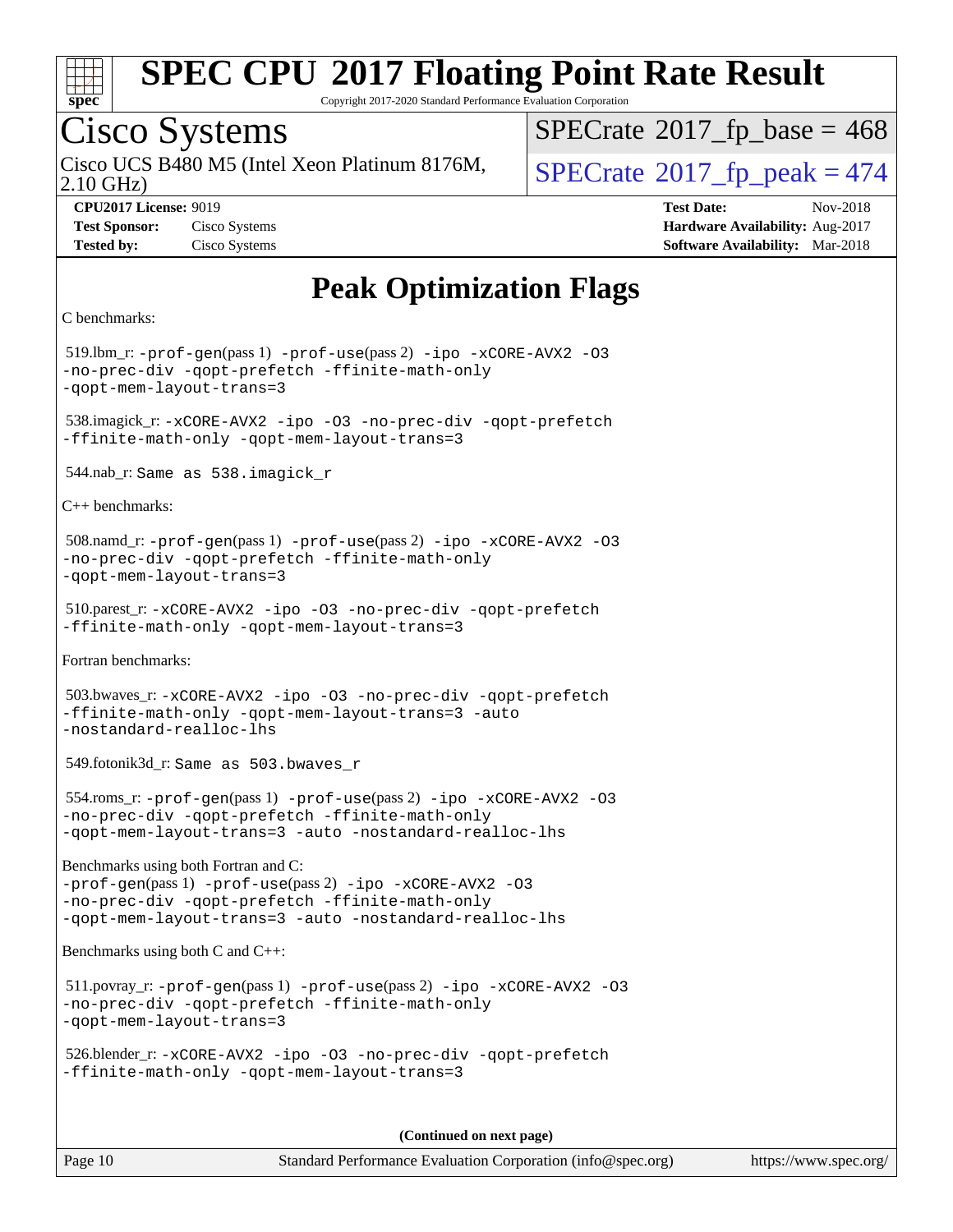

Copyright 2017-2020 Standard Performance Evaluation Corporation

## Cisco Systems

Cisco UCS B480 M5 (Intel Xeon Platinum 8176M,  $\big|$  [SPECrate](http://www.spec.org/auto/cpu2017/Docs/result-fields.html#SPECrate2017fppeak)®[2017\\_fp\\_peak = 4](http://www.spec.org/auto/cpu2017/Docs/result-fields.html#SPECrate2017fppeak)74

 $SPECTate$ <sup>®</sup>[2017\\_fp\\_base =](http://www.spec.org/auto/cpu2017/Docs/result-fields.html#SPECrate2017fpbase) 468

2.10 GHz)

**[Tested by:](http://www.spec.org/auto/cpu2017/Docs/result-fields.html#Testedby)** Cisco Systems **[Software Availability:](http://www.spec.org/auto/cpu2017/Docs/result-fields.html#SoftwareAvailability)** Mar-2018

**[CPU2017 License:](http://www.spec.org/auto/cpu2017/Docs/result-fields.html#CPU2017License)** 9019 **[Test Date:](http://www.spec.org/auto/cpu2017/Docs/result-fields.html#TestDate)** Nov-2018 **[Test Sponsor:](http://www.spec.org/auto/cpu2017/Docs/result-fields.html#TestSponsor)** Cisco Systems **[Hardware Availability:](http://www.spec.org/auto/cpu2017/Docs/result-fields.html#HardwareAvailability)** Aug-2017

## **[Peak Optimization Flags](http://www.spec.org/auto/cpu2017/Docs/result-fields.html#PeakOptimizationFlags)**

[C benchmarks](http://www.spec.org/auto/cpu2017/Docs/result-fields.html#Cbenchmarks):

 519.lbm\_r: [-prof-gen](http://www.spec.org/cpu2017/results/res2018q4/cpu2017-20181127-09972.flags.html#user_peakPASS1_CFLAGSPASS1_LDFLAGS519_lbm_r_prof_gen_5aa4926d6013ddb2a31985c654b3eb18169fc0c6952a63635c234f711e6e63dd76e94ad52365559451ec499a2cdb89e4dc58ba4c67ef54ca681ffbe1461d6b36)(pass 1) [-prof-use](http://www.spec.org/cpu2017/results/res2018q4/cpu2017-20181127-09972.flags.html#user_peakPASS2_CFLAGSPASS2_LDFLAGS519_lbm_r_prof_use_1a21ceae95f36a2b53c25747139a6c16ca95bd9def2a207b4f0849963b97e94f5260e30a0c64f4bb623698870e679ca08317ef8150905d41bd88c6f78df73f19)(pass 2) [-ipo](http://www.spec.org/cpu2017/results/res2018q4/cpu2017-20181127-09972.flags.html#user_peakPASS1_COPTIMIZEPASS2_COPTIMIZE519_lbm_r_f-ipo) [-xCORE-AVX2](http://www.spec.org/cpu2017/results/res2018q4/cpu2017-20181127-09972.flags.html#user_peakPASS2_COPTIMIZE519_lbm_r_f-xCORE-AVX2) [-O3](http://www.spec.org/cpu2017/results/res2018q4/cpu2017-20181127-09972.flags.html#user_peakPASS1_COPTIMIZEPASS2_COPTIMIZE519_lbm_r_f-O3) [-no-prec-div](http://www.spec.org/cpu2017/results/res2018q4/cpu2017-20181127-09972.flags.html#user_peakPASS1_COPTIMIZEPASS2_COPTIMIZE519_lbm_r_f-no-prec-div) [-qopt-prefetch](http://www.spec.org/cpu2017/results/res2018q4/cpu2017-20181127-09972.flags.html#user_peakPASS1_COPTIMIZEPASS2_COPTIMIZE519_lbm_r_f-qopt-prefetch) [-ffinite-math-only](http://www.spec.org/cpu2017/results/res2018q4/cpu2017-20181127-09972.flags.html#user_peakPASS1_COPTIMIZEPASS2_COPTIMIZE519_lbm_r_f_finite_math_only_cb91587bd2077682c4b38af759c288ed7c732db004271a9512da14a4f8007909a5f1427ecbf1a0fb78ff2a814402c6114ac565ca162485bbcae155b5e4258871) [-qopt-mem-layout-trans=3](http://www.spec.org/cpu2017/results/res2018q4/cpu2017-20181127-09972.flags.html#user_peakPASS1_COPTIMIZEPASS2_COPTIMIZE519_lbm_r_f-qopt-mem-layout-trans_de80db37974c74b1f0e20d883f0b675c88c3b01e9d123adea9b28688d64333345fb62bc4a798493513fdb68f60282f9a726aa07f478b2f7113531aecce732043) 538.imagick\_r: [-xCORE-AVX2](http://www.spec.org/cpu2017/results/res2018q4/cpu2017-20181127-09972.flags.html#user_peakCOPTIMIZE538_imagick_r_f-xCORE-AVX2) [-ipo](http://www.spec.org/cpu2017/results/res2018q4/cpu2017-20181127-09972.flags.html#user_peakCOPTIMIZE538_imagick_r_f-ipo) [-O3](http://www.spec.org/cpu2017/results/res2018q4/cpu2017-20181127-09972.flags.html#user_peakCOPTIMIZE538_imagick_r_f-O3) [-no-prec-div](http://www.spec.org/cpu2017/results/res2018q4/cpu2017-20181127-09972.flags.html#user_peakCOPTIMIZE538_imagick_r_f-no-prec-div) [-qopt-prefetch](http://www.spec.org/cpu2017/results/res2018q4/cpu2017-20181127-09972.flags.html#user_peakCOPTIMIZE538_imagick_r_f-qopt-prefetch) [-ffinite-math-only](http://www.spec.org/cpu2017/results/res2018q4/cpu2017-20181127-09972.flags.html#user_peakCOPTIMIZE538_imagick_r_f_finite_math_only_cb91587bd2077682c4b38af759c288ed7c732db004271a9512da14a4f8007909a5f1427ecbf1a0fb78ff2a814402c6114ac565ca162485bbcae155b5e4258871) [-qopt-mem-layout-trans=3](http://www.spec.org/cpu2017/results/res2018q4/cpu2017-20181127-09972.flags.html#user_peakCOPTIMIZE538_imagick_r_f-qopt-mem-layout-trans_de80db37974c74b1f0e20d883f0b675c88c3b01e9d123adea9b28688d64333345fb62bc4a798493513fdb68f60282f9a726aa07f478b2f7113531aecce732043) 544.nab\_r: Same as 538.imagick\_r [C++ benchmarks:](http://www.spec.org/auto/cpu2017/Docs/result-fields.html#CXXbenchmarks) 508.namd\_r: [-prof-gen](http://www.spec.org/cpu2017/results/res2018q4/cpu2017-20181127-09972.flags.html#user_peakPASS1_CXXFLAGSPASS1_LDFLAGS508_namd_r_prof_gen_5aa4926d6013ddb2a31985c654b3eb18169fc0c6952a63635c234f711e6e63dd76e94ad52365559451ec499a2cdb89e4dc58ba4c67ef54ca681ffbe1461d6b36)(pass 1) [-prof-use](http://www.spec.org/cpu2017/results/res2018q4/cpu2017-20181127-09972.flags.html#user_peakPASS2_CXXFLAGSPASS2_LDFLAGS508_namd_r_prof_use_1a21ceae95f36a2b53c25747139a6c16ca95bd9def2a207b4f0849963b97e94f5260e30a0c64f4bb623698870e679ca08317ef8150905d41bd88c6f78df73f19)(pass 2) [-ipo](http://www.spec.org/cpu2017/results/res2018q4/cpu2017-20181127-09972.flags.html#user_peakPASS1_CXXOPTIMIZEPASS2_CXXOPTIMIZE508_namd_r_f-ipo) [-xCORE-AVX2](http://www.spec.org/cpu2017/results/res2018q4/cpu2017-20181127-09972.flags.html#user_peakPASS2_CXXOPTIMIZE508_namd_r_f-xCORE-AVX2) [-O3](http://www.spec.org/cpu2017/results/res2018q4/cpu2017-20181127-09972.flags.html#user_peakPASS1_CXXOPTIMIZEPASS2_CXXOPTIMIZE508_namd_r_f-O3) [-no-prec-div](http://www.spec.org/cpu2017/results/res2018q4/cpu2017-20181127-09972.flags.html#user_peakPASS1_CXXOPTIMIZEPASS2_CXXOPTIMIZE508_namd_r_f-no-prec-div) [-qopt-prefetch](http://www.spec.org/cpu2017/results/res2018q4/cpu2017-20181127-09972.flags.html#user_peakPASS1_CXXOPTIMIZEPASS2_CXXOPTIMIZE508_namd_r_f-qopt-prefetch) [-ffinite-math-only](http://www.spec.org/cpu2017/results/res2018q4/cpu2017-20181127-09972.flags.html#user_peakPASS1_CXXOPTIMIZEPASS2_CXXOPTIMIZE508_namd_r_f_finite_math_only_cb91587bd2077682c4b38af759c288ed7c732db004271a9512da14a4f8007909a5f1427ecbf1a0fb78ff2a814402c6114ac565ca162485bbcae155b5e4258871) [-qopt-mem-layout-trans=3](http://www.spec.org/cpu2017/results/res2018q4/cpu2017-20181127-09972.flags.html#user_peakPASS1_CXXOPTIMIZEPASS2_CXXOPTIMIZE508_namd_r_f-qopt-mem-layout-trans_de80db37974c74b1f0e20d883f0b675c88c3b01e9d123adea9b28688d64333345fb62bc4a798493513fdb68f60282f9a726aa07f478b2f7113531aecce732043) 510.parest\_r: [-xCORE-AVX2](http://www.spec.org/cpu2017/results/res2018q4/cpu2017-20181127-09972.flags.html#user_peakCXXOPTIMIZE510_parest_r_f-xCORE-AVX2) [-ipo](http://www.spec.org/cpu2017/results/res2018q4/cpu2017-20181127-09972.flags.html#user_peakCXXOPTIMIZE510_parest_r_f-ipo) [-O3](http://www.spec.org/cpu2017/results/res2018q4/cpu2017-20181127-09972.flags.html#user_peakCXXOPTIMIZE510_parest_r_f-O3) [-no-prec-div](http://www.spec.org/cpu2017/results/res2018q4/cpu2017-20181127-09972.flags.html#user_peakCXXOPTIMIZE510_parest_r_f-no-prec-div) [-qopt-prefetch](http://www.spec.org/cpu2017/results/res2018q4/cpu2017-20181127-09972.flags.html#user_peakCXXOPTIMIZE510_parest_r_f-qopt-prefetch) [-ffinite-math-only](http://www.spec.org/cpu2017/results/res2018q4/cpu2017-20181127-09972.flags.html#user_peakCXXOPTIMIZE510_parest_r_f_finite_math_only_cb91587bd2077682c4b38af759c288ed7c732db004271a9512da14a4f8007909a5f1427ecbf1a0fb78ff2a814402c6114ac565ca162485bbcae155b5e4258871) [-qopt-mem-layout-trans=3](http://www.spec.org/cpu2017/results/res2018q4/cpu2017-20181127-09972.flags.html#user_peakCXXOPTIMIZE510_parest_r_f-qopt-mem-layout-trans_de80db37974c74b1f0e20d883f0b675c88c3b01e9d123adea9b28688d64333345fb62bc4a798493513fdb68f60282f9a726aa07f478b2f7113531aecce732043) [Fortran benchmarks](http://www.spec.org/auto/cpu2017/Docs/result-fields.html#Fortranbenchmarks): 503.bwaves\_r: [-xCORE-AVX2](http://www.spec.org/cpu2017/results/res2018q4/cpu2017-20181127-09972.flags.html#user_peakFOPTIMIZE503_bwaves_r_f-xCORE-AVX2) [-ipo](http://www.spec.org/cpu2017/results/res2018q4/cpu2017-20181127-09972.flags.html#user_peakFOPTIMIZE503_bwaves_r_f-ipo) [-O3](http://www.spec.org/cpu2017/results/res2018q4/cpu2017-20181127-09972.flags.html#user_peakFOPTIMIZE503_bwaves_r_f-O3) [-no-prec-div](http://www.spec.org/cpu2017/results/res2018q4/cpu2017-20181127-09972.flags.html#user_peakFOPTIMIZE503_bwaves_r_f-no-prec-div) [-qopt-prefetch](http://www.spec.org/cpu2017/results/res2018q4/cpu2017-20181127-09972.flags.html#user_peakFOPTIMIZE503_bwaves_r_f-qopt-prefetch) [-ffinite-math-only](http://www.spec.org/cpu2017/results/res2018q4/cpu2017-20181127-09972.flags.html#user_peakFOPTIMIZE503_bwaves_r_f_finite_math_only_cb91587bd2077682c4b38af759c288ed7c732db004271a9512da14a4f8007909a5f1427ecbf1a0fb78ff2a814402c6114ac565ca162485bbcae155b5e4258871) [-qopt-mem-layout-trans=3](http://www.spec.org/cpu2017/results/res2018q4/cpu2017-20181127-09972.flags.html#user_peakFOPTIMIZE503_bwaves_r_f-qopt-mem-layout-trans_de80db37974c74b1f0e20d883f0b675c88c3b01e9d123adea9b28688d64333345fb62bc4a798493513fdb68f60282f9a726aa07f478b2f7113531aecce732043) [-auto](http://www.spec.org/cpu2017/results/res2018q4/cpu2017-20181127-09972.flags.html#user_peakFOPTIMIZE503_bwaves_r_f-auto) [-nostandard-realloc-lhs](http://www.spec.org/cpu2017/results/res2018q4/cpu2017-20181127-09972.flags.html#user_peakEXTRA_FOPTIMIZE503_bwaves_r_f_2003_std_realloc_82b4557e90729c0f113870c07e44d33d6f5a304b4f63d4c15d2d0f1fab99f5daaed73bdb9275d9ae411527f28b936061aa8b9c8f2d63842963b95c9dd6426b8a) 549.fotonik3d\_r: Same as 503.bwaves\_r 554.roms\_r: [-prof-gen](http://www.spec.org/cpu2017/results/res2018q4/cpu2017-20181127-09972.flags.html#user_peakPASS1_FFLAGSPASS1_LDFLAGS554_roms_r_prof_gen_5aa4926d6013ddb2a31985c654b3eb18169fc0c6952a63635c234f711e6e63dd76e94ad52365559451ec499a2cdb89e4dc58ba4c67ef54ca681ffbe1461d6b36)(pass 1) [-prof-use](http://www.spec.org/cpu2017/results/res2018q4/cpu2017-20181127-09972.flags.html#user_peakPASS2_FFLAGSPASS2_LDFLAGS554_roms_r_prof_use_1a21ceae95f36a2b53c25747139a6c16ca95bd9def2a207b4f0849963b97e94f5260e30a0c64f4bb623698870e679ca08317ef8150905d41bd88c6f78df73f19)(pass 2) [-ipo](http://www.spec.org/cpu2017/results/res2018q4/cpu2017-20181127-09972.flags.html#user_peakPASS1_FOPTIMIZEPASS2_FOPTIMIZE554_roms_r_f-ipo) [-xCORE-AVX2](http://www.spec.org/cpu2017/results/res2018q4/cpu2017-20181127-09972.flags.html#user_peakPASS2_FOPTIMIZE554_roms_r_f-xCORE-AVX2) [-O3](http://www.spec.org/cpu2017/results/res2018q4/cpu2017-20181127-09972.flags.html#user_peakPASS1_FOPTIMIZEPASS2_FOPTIMIZE554_roms_r_f-O3) [-no-prec-div](http://www.spec.org/cpu2017/results/res2018q4/cpu2017-20181127-09972.flags.html#user_peakPASS1_FOPTIMIZEPASS2_FOPTIMIZE554_roms_r_f-no-prec-div) [-qopt-prefetch](http://www.spec.org/cpu2017/results/res2018q4/cpu2017-20181127-09972.flags.html#user_peakPASS1_FOPTIMIZEPASS2_FOPTIMIZE554_roms_r_f-qopt-prefetch) [-ffinite-math-only](http://www.spec.org/cpu2017/results/res2018q4/cpu2017-20181127-09972.flags.html#user_peakPASS1_FOPTIMIZEPASS2_FOPTIMIZE554_roms_r_f_finite_math_only_cb91587bd2077682c4b38af759c288ed7c732db004271a9512da14a4f8007909a5f1427ecbf1a0fb78ff2a814402c6114ac565ca162485bbcae155b5e4258871) [-qopt-mem-layout-trans=3](http://www.spec.org/cpu2017/results/res2018q4/cpu2017-20181127-09972.flags.html#user_peakPASS1_FOPTIMIZEPASS2_FOPTIMIZE554_roms_r_f-qopt-mem-layout-trans_de80db37974c74b1f0e20d883f0b675c88c3b01e9d123adea9b28688d64333345fb62bc4a798493513fdb68f60282f9a726aa07f478b2f7113531aecce732043) [-auto](http://www.spec.org/cpu2017/results/res2018q4/cpu2017-20181127-09972.flags.html#user_peakPASS2_FOPTIMIZE554_roms_r_f-auto) [-nostandard-realloc-lhs](http://www.spec.org/cpu2017/results/res2018q4/cpu2017-20181127-09972.flags.html#user_peakEXTRA_FOPTIMIZE554_roms_r_f_2003_std_realloc_82b4557e90729c0f113870c07e44d33d6f5a304b4f63d4c15d2d0f1fab99f5daaed73bdb9275d9ae411527f28b936061aa8b9c8f2d63842963b95c9dd6426b8a) [Benchmarks using both Fortran and C](http://www.spec.org/auto/cpu2017/Docs/result-fields.html#BenchmarksusingbothFortranandC): [-prof-gen](http://www.spec.org/cpu2017/results/res2018q4/cpu2017-20181127-09972.flags.html#user_CC_FCpeak_prof_gen_5aa4926d6013ddb2a31985c654b3eb18169fc0c6952a63635c234f711e6e63dd76e94ad52365559451ec499a2cdb89e4dc58ba4c67ef54ca681ffbe1461d6b36)(pass 1) [-prof-use](http://www.spec.org/cpu2017/results/res2018q4/cpu2017-20181127-09972.flags.html#user_CC_FCpeak_prof_use_1a21ceae95f36a2b53c25747139a6c16ca95bd9def2a207b4f0849963b97e94f5260e30a0c64f4bb623698870e679ca08317ef8150905d41bd88c6f78df73f19)(pass 2) [-ipo](http://www.spec.org/cpu2017/results/res2018q4/cpu2017-20181127-09972.flags.html#user_CC_FCpeak_f-ipo) [-xCORE-AVX2](http://www.spec.org/cpu2017/results/res2018q4/cpu2017-20181127-09972.flags.html#user_CC_FCpeak_f-xCORE-AVX2) [-O3](http://www.spec.org/cpu2017/results/res2018q4/cpu2017-20181127-09972.flags.html#user_CC_FCpeak_f-O3) [-no-prec-div](http://www.spec.org/cpu2017/results/res2018q4/cpu2017-20181127-09972.flags.html#user_CC_FCpeak_f-no-prec-div) [-qopt-prefetch](http://www.spec.org/cpu2017/results/res2018q4/cpu2017-20181127-09972.flags.html#user_CC_FCpeak_f-qopt-prefetch) [-ffinite-math-only](http://www.spec.org/cpu2017/results/res2018q4/cpu2017-20181127-09972.flags.html#user_CC_FCpeak_f_finite_math_only_cb91587bd2077682c4b38af759c288ed7c732db004271a9512da14a4f8007909a5f1427ecbf1a0fb78ff2a814402c6114ac565ca162485bbcae155b5e4258871) [-qopt-mem-layout-trans=3](http://www.spec.org/cpu2017/results/res2018q4/cpu2017-20181127-09972.flags.html#user_CC_FCpeak_f-qopt-mem-layout-trans_de80db37974c74b1f0e20d883f0b675c88c3b01e9d123adea9b28688d64333345fb62bc4a798493513fdb68f60282f9a726aa07f478b2f7113531aecce732043) [-auto](http://www.spec.org/cpu2017/results/res2018q4/cpu2017-20181127-09972.flags.html#user_CC_FCpeak_f-auto) [-nostandard-realloc-lhs](http://www.spec.org/cpu2017/results/res2018q4/cpu2017-20181127-09972.flags.html#user_CC_FCpeak_f_2003_std_realloc_82b4557e90729c0f113870c07e44d33d6f5a304b4f63d4c15d2d0f1fab99f5daaed73bdb9275d9ae411527f28b936061aa8b9c8f2d63842963b95c9dd6426b8a) [Benchmarks using both C and C++:](http://www.spec.org/auto/cpu2017/Docs/result-fields.html#BenchmarksusingbothCandCXX) 511.povray\_r: [-prof-gen](http://www.spec.org/cpu2017/results/res2018q4/cpu2017-20181127-09972.flags.html#user_peakPASS1_CFLAGSPASS1_CXXFLAGSPASS1_LDFLAGS511_povray_r_prof_gen_5aa4926d6013ddb2a31985c654b3eb18169fc0c6952a63635c234f711e6e63dd76e94ad52365559451ec499a2cdb89e4dc58ba4c67ef54ca681ffbe1461d6b36)(pass 1) [-prof-use](http://www.spec.org/cpu2017/results/res2018q4/cpu2017-20181127-09972.flags.html#user_peakPASS2_CFLAGSPASS2_CXXFLAGSPASS2_LDFLAGS511_povray_r_prof_use_1a21ceae95f36a2b53c25747139a6c16ca95bd9def2a207b4f0849963b97e94f5260e30a0c64f4bb623698870e679ca08317ef8150905d41bd88c6f78df73f19)(pass 2) [-ipo](http://www.spec.org/cpu2017/results/res2018q4/cpu2017-20181127-09972.flags.html#user_peakPASS1_COPTIMIZEPASS1_CXXOPTIMIZEPASS2_COPTIMIZEPASS2_CXXOPTIMIZE511_povray_r_f-ipo) [-xCORE-AVX2](http://www.spec.org/cpu2017/results/res2018q4/cpu2017-20181127-09972.flags.html#user_peakPASS2_COPTIMIZEPASS2_CXXOPTIMIZE511_povray_r_f-xCORE-AVX2) [-O3](http://www.spec.org/cpu2017/results/res2018q4/cpu2017-20181127-09972.flags.html#user_peakPASS1_COPTIMIZEPASS1_CXXOPTIMIZEPASS2_COPTIMIZEPASS2_CXXOPTIMIZE511_povray_r_f-O3) [-no-prec-div](http://www.spec.org/cpu2017/results/res2018q4/cpu2017-20181127-09972.flags.html#user_peakPASS1_COPTIMIZEPASS1_CXXOPTIMIZEPASS2_COPTIMIZEPASS2_CXXOPTIMIZE511_povray_r_f-no-prec-div) [-qopt-prefetch](http://www.spec.org/cpu2017/results/res2018q4/cpu2017-20181127-09972.flags.html#user_peakPASS1_COPTIMIZEPASS1_CXXOPTIMIZEPASS2_COPTIMIZEPASS2_CXXOPTIMIZE511_povray_r_f-qopt-prefetch) [-ffinite-math-only](http://www.spec.org/cpu2017/results/res2018q4/cpu2017-20181127-09972.flags.html#user_peakPASS1_COPTIMIZEPASS1_CXXOPTIMIZEPASS2_COPTIMIZEPASS2_CXXOPTIMIZE511_povray_r_f_finite_math_only_cb91587bd2077682c4b38af759c288ed7c732db004271a9512da14a4f8007909a5f1427ecbf1a0fb78ff2a814402c6114ac565ca162485bbcae155b5e4258871) [-qopt-mem-layout-trans=3](http://www.spec.org/cpu2017/results/res2018q4/cpu2017-20181127-09972.flags.html#user_peakPASS1_COPTIMIZEPASS1_CXXOPTIMIZEPASS2_COPTIMIZEPASS2_CXXOPTIMIZE511_povray_r_f-qopt-mem-layout-trans_de80db37974c74b1f0e20d883f0b675c88c3b01e9d123adea9b28688d64333345fb62bc4a798493513fdb68f60282f9a726aa07f478b2f7113531aecce732043) 526.blender\_r: [-xCORE-AVX2](http://www.spec.org/cpu2017/results/res2018q4/cpu2017-20181127-09972.flags.html#user_peakCOPTIMIZECXXOPTIMIZE526_blender_r_f-xCORE-AVX2) [-ipo](http://www.spec.org/cpu2017/results/res2018q4/cpu2017-20181127-09972.flags.html#user_peakCOPTIMIZECXXOPTIMIZE526_blender_r_f-ipo) [-O3](http://www.spec.org/cpu2017/results/res2018q4/cpu2017-20181127-09972.flags.html#user_peakCOPTIMIZECXXOPTIMIZE526_blender_r_f-O3) [-no-prec-div](http://www.spec.org/cpu2017/results/res2018q4/cpu2017-20181127-09972.flags.html#user_peakCOPTIMIZECXXOPTIMIZE526_blender_r_f-no-prec-div) [-qopt-prefetch](http://www.spec.org/cpu2017/results/res2018q4/cpu2017-20181127-09972.flags.html#user_peakCOPTIMIZECXXOPTIMIZE526_blender_r_f-qopt-prefetch) [-ffinite-math-only](http://www.spec.org/cpu2017/results/res2018q4/cpu2017-20181127-09972.flags.html#user_peakCOPTIMIZECXXOPTIMIZE526_blender_r_f_finite_math_only_cb91587bd2077682c4b38af759c288ed7c732db004271a9512da14a4f8007909a5f1427ecbf1a0fb78ff2a814402c6114ac565ca162485bbcae155b5e4258871) [-qopt-mem-layout-trans=3](http://www.spec.org/cpu2017/results/res2018q4/cpu2017-20181127-09972.flags.html#user_peakCOPTIMIZECXXOPTIMIZE526_blender_r_f-qopt-mem-layout-trans_de80db37974c74b1f0e20d883f0b675c88c3b01e9d123adea9b28688d64333345fb62bc4a798493513fdb68f60282f9a726aa07f478b2f7113531aecce732043)

**(Continued on next page)**